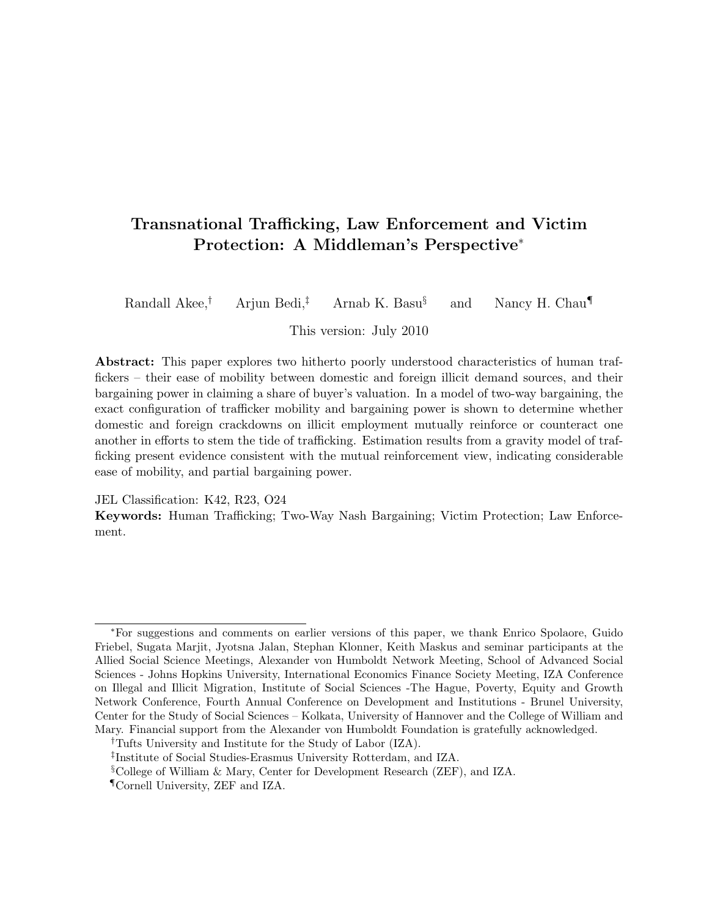## Transnational Trafficking, Law Enforcement and Victim Protection: A Middleman's Perspective<sup>∗</sup>

Randall Akee,<sup>†</sup> Arjun Bedi,<sup>‡</sup> Arnab K. Basu<sup>§</sup> and Nancy H. Chau

This version: July 2010

Abstract: This paper explores two hitherto poorly understood characteristics of human traffickers – their ease of mobility between domestic and foreign illicit demand sources, and their bargaining power in claiming a share of buyer's valuation. In a model of two-way bargaining, the exact configuration of trafficker mobility and bargaining power is shown to determine whether domestic and foreign crackdowns on illicit employment mutually reinforce or counteract one another in efforts to stem the tide of trafficking. Estimation results from a gravity model of trafficking present evidence consistent with the mutual reinforcement view, indicating considerable ease of mobility, and partial bargaining power.

JEL Classification: K42, R23, O24

Keywords: Human Trafficking; Two-Way Nash Bargaining; Victim Protection; Law Enforcement.

<sup>∗</sup>For suggestions and comments on earlier versions of this paper, we thank Enrico Spolaore, Guido Friebel, Sugata Marjit, Jyotsna Jalan, Stephan Klonner, Keith Maskus and seminar participants at the Allied Social Science Meetings, Alexander von Humboldt Network Meeting, School of Advanced Social Sciences - Johns Hopkins University, International Economics Finance Society Meeting, IZA Conference on Illegal and Illicit Migration, Institute of Social Sciences -The Hague, Poverty, Equity and Growth Network Conference, Fourth Annual Conference on Development and Institutions - Brunel University, Center for the Study of Social Sciences – Kolkata, University of Hannover and the College of William and Mary. Financial support from the Alexander von Humboldt Foundation is gratefully acknowledged.

<sup>†</sup>Tufts University and Institute for the Study of Labor (IZA).

<sup>‡</sup> Institute of Social Studies-Erasmus University Rotterdam, and IZA.

<sup>§</sup>College of William & Mary, Center for Development Research (ZEF), and IZA.

<sup>¶</sup>Cornell University, ZEF and IZA.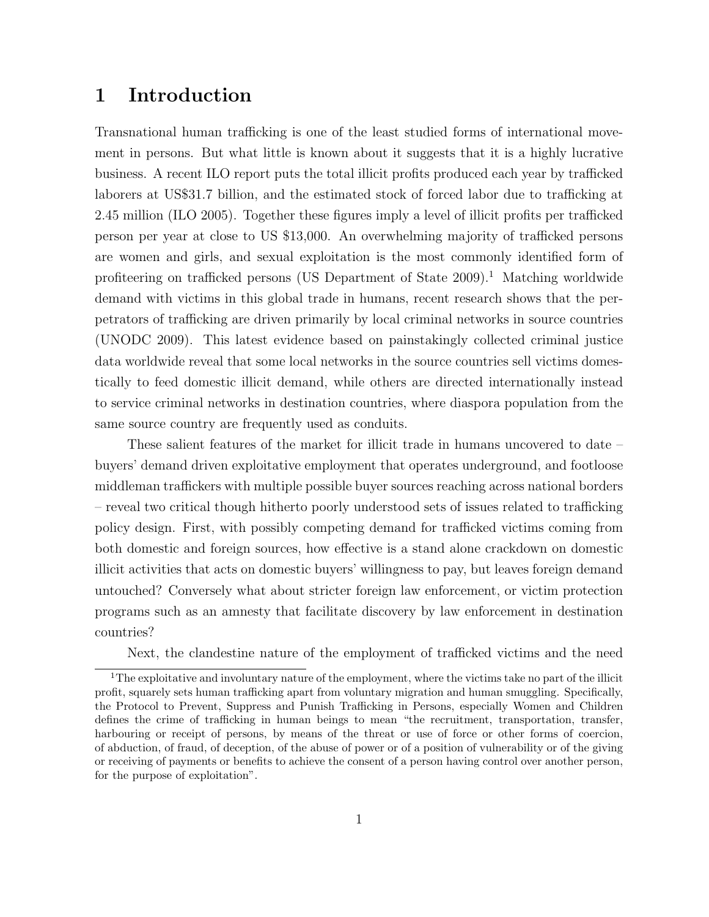## 1 Introduction

Transnational human trafficking is one of the least studied forms of international movement in persons. But what little is known about it suggests that it is a highly lucrative business. A recent ILO report puts the total illicit profits produced each year by trafficked laborers at US\$31.7 billion, and the estimated stock of forced labor due to trafficking at 2.45 million (ILO 2005). Together these figures imply a level of illicit profits per trafficked person per year at close to US \$13,000. An overwhelming majority of trafficked persons are women and girls, and sexual exploitation is the most commonly identified form of profiteering on trafficked persons (US Department of State  $2009$ ).<sup>1</sup> Matching worldwide demand with victims in this global trade in humans, recent research shows that the perpetrators of trafficking are driven primarily by local criminal networks in source countries (UNODC 2009). This latest evidence based on painstakingly collected criminal justice data worldwide reveal that some local networks in the source countries sell victims domestically to feed domestic illicit demand, while others are directed internationally instead to service criminal networks in destination countries, where diaspora population from the same source country are frequently used as conduits.

These salient features of the market for illicit trade in humans uncovered to date – buyers' demand driven exploitative employment that operates underground, and footloose middleman traffickers with multiple possible buyer sources reaching across national borders – reveal two critical though hitherto poorly understood sets of issues related to trafficking policy design. First, with possibly competing demand for trafficked victims coming from both domestic and foreign sources, how effective is a stand alone crackdown on domestic illicit activities that acts on domestic buyers' willingness to pay, but leaves foreign demand untouched? Conversely what about stricter foreign law enforcement, or victim protection programs such as an amnesty that facilitate discovery by law enforcement in destination countries?

Next, the clandestine nature of the employment of trafficked victims and the need

<sup>&</sup>lt;sup>1</sup>The exploitative and involuntary nature of the employment, where the victims take no part of the illicit profit, squarely sets human trafficking apart from voluntary migration and human smuggling. Specifically, the Protocol to Prevent, Suppress and Punish Trafficking in Persons, especially Women and Children defines the crime of trafficking in human beings to mean "the recruitment, transportation, transfer, harbouring or receipt of persons, by means of the threat or use of force or other forms of coercion, of abduction, of fraud, of deception, of the abuse of power or of a position of vulnerability or of the giving or receiving of payments or benefits to achieve the consent of a person having control over another person, for the purpose of exploitation".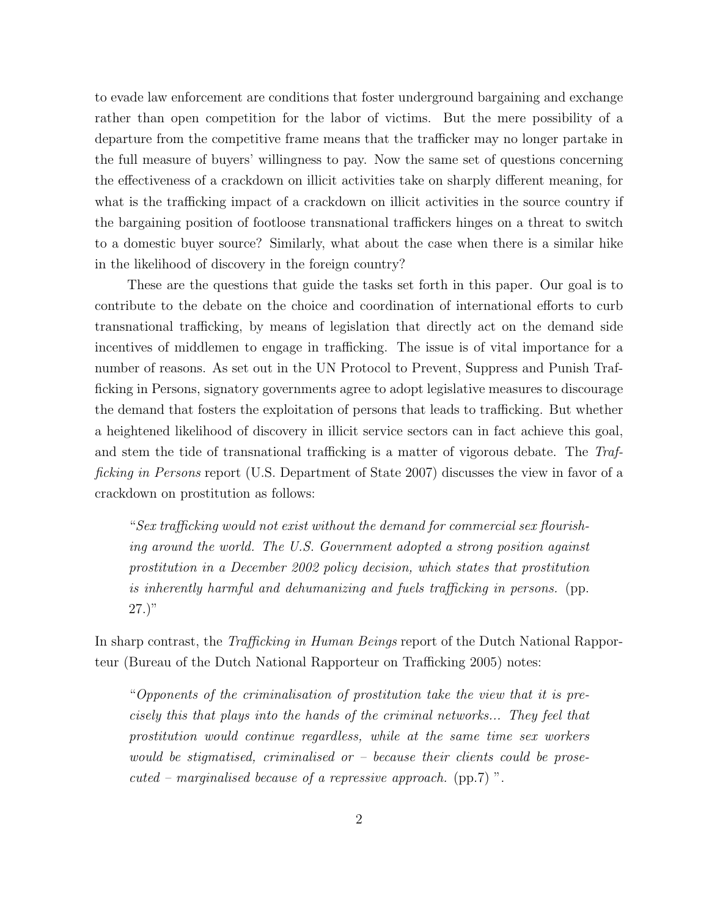to evade law enforcement are conditions that foster underground bargaining and exchange rather than open competition for the labor of victims. But the mere possibility of a departure from the competitive frame means that the trafficker may no longer partake in the full measure of buyers' willingness to pay. Now the same set of questions concerning the effectiveness of a crackdown on illicit activities take on sharply different meaning, for what is the trafficking impact of a crackdown on illicit activities in the source country if the bargaining position of footloose transnational traffickers hinges on a threat to switch to a domestic buyer source? Similarly, what about the case when there is a similar hike in the likelihood of discovery in the foreign country?

These are the questions that guide the tasks set forth in this paper. Our goal is to contribute to the debate on the choice and coordination of international efforts to curb transnational trafficking, by means of legislation that directly act on the demand side incentives of middlemen to engage in trafficking. The issue is of vital importance for a number of reasons. As set out in the UN Protocol to Prevent, Suppress and Punish Trafficking in Persons, signatory governments agree to adopt legislative measures to discourage the demand that fosters the exploitation of persons that leads to trafficking. But whether a heightened likelihood of discovery in illicit service sectors can in fact achieve this goal, and stem the tide of transnational trafficking is a matter of vigorous debate. The Trafficking in Persons report (U.S. Department of State 2007) discusses the view in favor of a crackdown on prostitution as follows:

"Sex trafficking would not exist without the demand for commercial sex flourishing around the world. The U.S. Government adopted a strong position against prostitution in a December 2002 policy decision, which states that prostitution is inherently harmful and dehumanizing and fuels trafficking in persons. (pp.  $(27.)$ "

In sharp contrast, the Trafficking in Human Beings report of the Dutch National Rapporteur (Bureau of the Dutch National Rapporteur on Trafficking 2005) notes:

"Opponents of the criminalisation of prostitution take the view that it is precisely this that plays into the hands of the criminal networks... They feel that prostitution would continue regardless, while at the same time sex workers would be stigmatised, criminalised or  $-$  because their clients could be prose $cuted$  – marginalised because of a repressive approach. (pp.7)".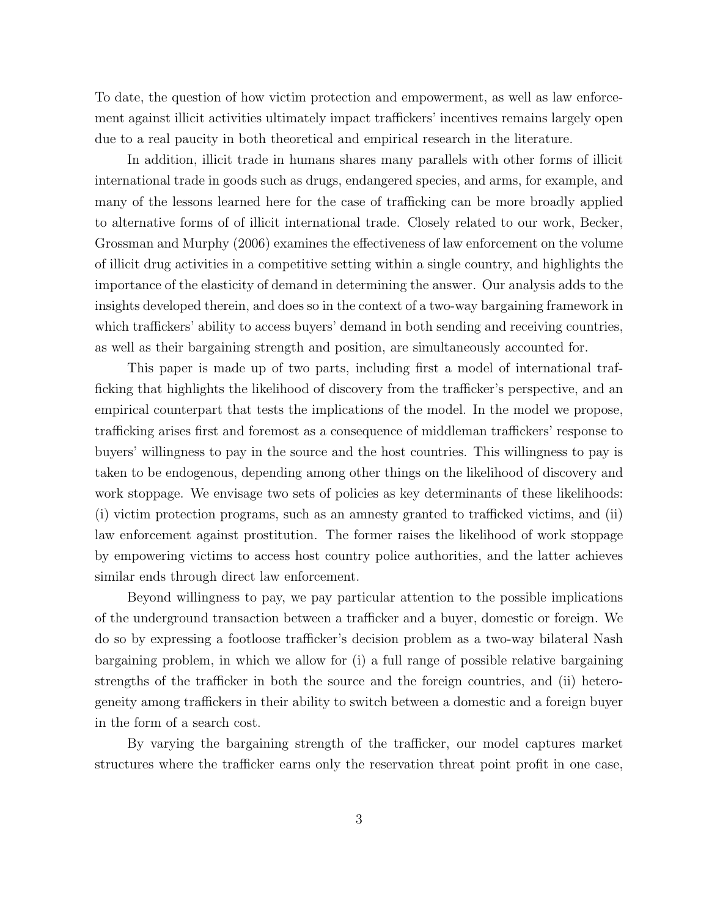To date, the question of how victim protection and empowerment, as well as law enforcement against illicit activities ultimately impact traffickers' incentives remains largely open due to a real paucity in both theoretical and empirical research in the literature.

In addition, illicit trade in humans shares many parallels with other forms of illicit international trade in goods such as drugs, endangered species, and arms, for example, and many of the lessons learned here for the case of trafficking can be more broadly applied to alternative forms of of illicit international trade. Closely related to our work, Becker, Grossman and Murphy (2006) examines the effectiveness of law enforcement on the volume of illicit drug activities in a competitive setting within a single country, and highlights the importance of the elasticity of demand in determining the answer. Our analysis adds to the insights developed therein, and does so in the context of a two-way bargaining framework in which traffickers' ability to access buyers' demand in both sending and receiving countries, as well as their bargaining strength and position, are simultaneously accounted for.

This paper is made up of two parts, including first a model of international trafficking that highlights the likelihood of discovery from the trafficker's perspective, and an empirical counterpart that tests the implications of the model. In the model we propose, trafficking arises first and foremost as a consequence of middleman traffickers' response to buyers' willingness to pay in the source and the host countries. This willingness to pay is taken to be endogenous, depending among other things on the likelihood of discovery and work stoppage. We envisage two sets of policies as key determinants of these likelihoods: (i) victim protection programs, such as an amnesty granted to trafficked victims, and (ii) law enforcement against prostitution. The former raises the likelihood of work stoppage by empowering victims to access host country police authorities, and the latter achieves similar ends through direct law enforcement.

Beyond willingness to pay, we pay particular attention to the possible implications of the underground transaction between a trafficker and a buyer, domestic or foreign. We do so by expressing a footloose trafficker's decision problem as a two-way bilateral Nash bargaining problem, in which we allow for (i) a full range of possible relative bargaining strengths of the trafficker in both the source and the foreign countries, and (ii) heterogeneity among traffickers in their ability to switch between a domestic and a foreign buyer in the form of a search cost.

By varying the bargaining strength of the trafficker, our model captures market structures where the trafficker earns only the reservation threat point profit in one case,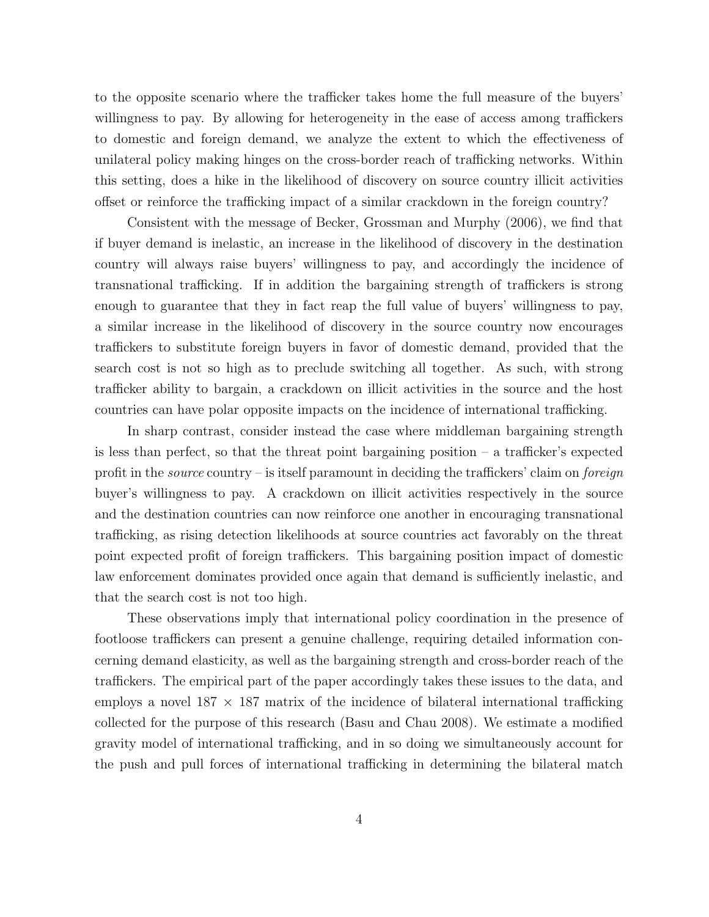to the opposite scenario where the trafficker takes home the full measure of the buyers' willingness to pay. By allowing for heterogeneity in the ease of access among traffickers to domestic and foreign demand, we analyze the extent to which the effectiveness of unilateral policy making hinges on the cross-border reach of trafficking networks. Within this setting, does a hike in the likelihood of discovery on source country illicit activities offset or reinforce the trafficking impact of a similar crackdown in the foreign country?

Consistent with the message of Becker, Grossman and Murphy (2006), we find that if buyer demand is inelastic, an increase in the likelihood of discovery in the destination country will always raise buyers' willingness to pay, and accordingly the incidence of transnational trafficking. If in addition the bargaining strength of traffickers is strong enough to guarantee that they in fact reap the full value of buyers' willingness to pay, a similar increase in the likelihood of discovery in the source country now encourages traffickers to substitute foreign buyers in favor of domestic demand, provided that the search cost is not so high as to preclude switching all together. As such, with strong trafficker ability to bargain, a crackdown on illicit activities in the source and the host countries can have polar opposite impacts on the incidence of international trafficking.

In sharp contrast, consider instead the case where middleman bargaining strength is less than perfect, so that the threat point bargaining position  $-$  a trafficker's expected profit in the *source* country – is itself paramount in deciding the traffickers' claim on *foreign* buyer's willingness to pay. A crackdown on illicit activities respectively in the source and the destination countries can now reinforce one another in encouraging transnational trafficking, as rising detection likelihoods at source countries act favorably on the threat point expected profit of foreign traffickers. This bargaining position impact of domestic law enforcement dominates provided once again that demand is sufficiently inelastic, and that the search cost is not too high.

These observations imply that international policy coordination in the presence of footloose traffickers can present a genuine challenge, requiring detailed information concerning demand elasticity, as well as the bargaining strength and cross-border reach of the traffickers. The empirical part of the paper accordingly takes these issues to the data, and employs a novel  $187 \times 187$  matrix of the incidence of bilateral international trafficking collected for the purpose of this research (Basu and Chau 2008). We estimate a modified gravity model of international trafficking, and in so doing we simultaneously account for the push and pull forces of international trafficking in determining the bilateral match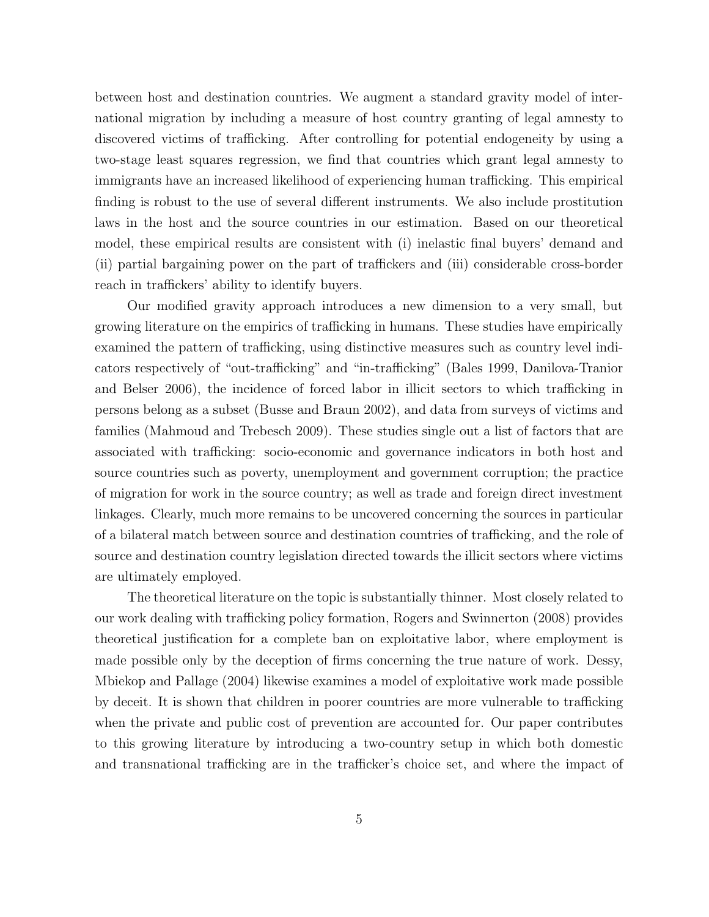between host and destination countries. We augment a standard gravity model of international migration by including a measure of host country granting of legal amnesty to discovered victims of trafficking. After controlling for potential endogeneity by using a two-stage least squares regression, we find that countries which grant legal amnesty to immigrants have an increased likelihood of experiencing human trafficking. This empirical finding is robust to the use of several different instruments. We also include prostitution laws in the host and the source countries in our estimation. Based on our theoretical model, these empirical results are consistent with (i) inelastic final buyers' demand and (ii) partial bargaining power on the part of traffickers and (iii) considerable cross-border reach in traffickers' ability to identify buyers.

Our modified gravity approach introduces a new dimension to a very small, but growing literature on the empirics of trafficking in humans. These studies have empirically examined the pattern of trafficking, using distinctive measures such as country level indicators respectively of "out-trafficking" and "in-trafficking" (Bales 1999, Danilova-Tranior and Belser 2006), the incidence of forced labor in illicit sectors to which trafficking in persons belong as a subset (Busse and Braun 2002), and data from surveys of victims and families (Mahmoud and Trebesch 2009). These studies single out a list of factors that are associated with trafficking: socio-economic and governance indicators in both host and source countries such as poverty, unemployment and government corruption; the practice of migration for work in the source country; as well as trade and foreign direct investment linkages. Clearly, much more remains to be uncovered concerning the sources in particular of a bilateral match between source and destination countries of trafficking, and the role of source and destination country legislation directed towards the illicit sectors where victims are ultimately employed.

The theoretical literature on the topic is substantially thinner. Most closely related to our work dealing with trafficking policy formation, Rogers and Swinnerton (2008) provides theoretical justification for a complete ban on exploitative labor, where employment is made possible only by the deception of firms concerning the true nature of work. Dessy, Mbiekop and Pallage (2004) likewise examines a model of exploitative work made possible by deceit. It is shown that children in poorer countries are more vulnerable to trafficking when the private and public cost of prevention are accounted for. Our paper contributes to this growing literature by introducing a two-country setup in which both domestic and transnational trafficking are in the trafficker's choice set, and where the impact of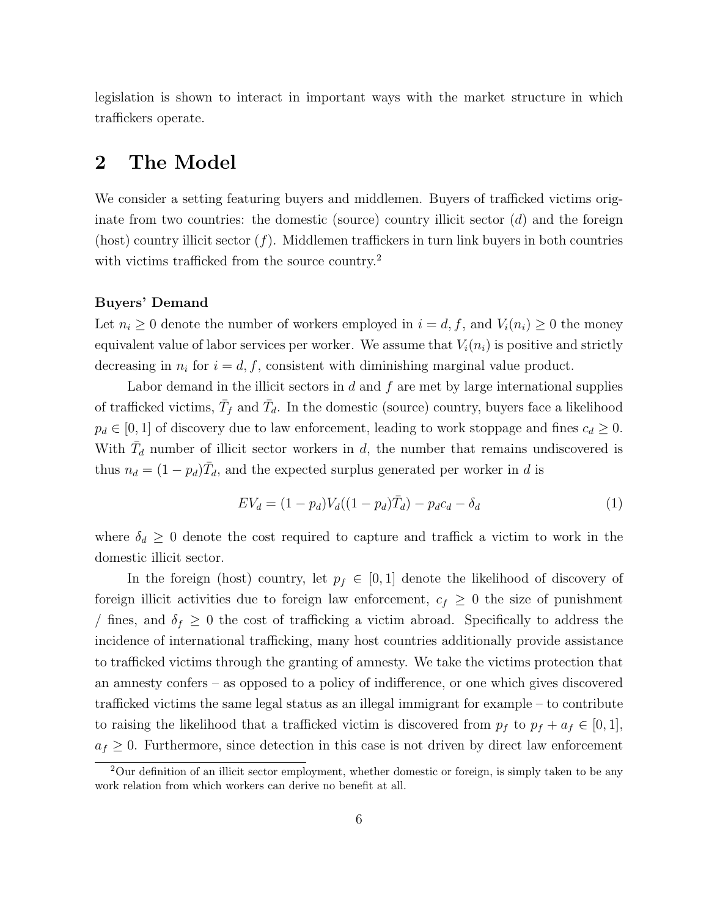legislation is shown to interact in important ways with the market structure in which traffickers operate.

## 2 The Model

We consider a setting featuring buyers and middlemen. Buyers of trafficked victims originate from two countries: the domestic (source) country illicit sector  $(d)$  and the foreign (host) country illicit sector  $(f)$ . Middlemen traffickers in turn link buyers in both countries with victims trafficked from the source country.<sup>2</sup>

#### Buyers' Demand

Let  $n_i \geq 0$  denote the number of workers employed in  $i = d, f$ , and  $V_i(n_i) \geq 0$  the money equivalent value of labor services per worker. We assume that  $V_i(n_i)$  is positive and strictly decreasing in  $n_i$  for  $i = d, f$ , consistent with diminishing marginal value product.

Labor demand in the illicit sectors in  $d$  and  $f$  are met by large international supplies of trafficked victims,  $\bar{T}_f$  and  $\bar{T}_d$ . In the domestic (source) country, buyers face a likelihood  $p_d \in [0, 1]$  of discovery due to law enforcement, leading to work stoppage and fines  $c_d \geq 0$ . With  $\bar{T}_d$  number of illicit sector workers in d, the number that remains undiscovered is thus  $n_d = (1 - p_d)\overline{T}_d$ , and the expected surplus generated per worker in d is

$$
EV_d = (1 - p_d)V_d((1 - p_d)\bar{T}_d) - p_d c_d - \delta_d \tag{1}
$$

where  $\delta_d \geq 0$  denote the cost required to capture and traffick a victim to work in the domestic illicit sector.

In the foreign (host) country, let  $p_f \in [0,1]$  denote the likelihood of discovery of foreign illicit activities due to foreign law enforcement,  $c_f \geq 0$  the size of punishment / fines, and  $\delta_f \geq 0$  the cost of trafficking a victim abroad. Specifically to address the incidence of international trafficking, many host countries additionally provide assistance to trafficked victims through the granting of amnesty. We take the victims protection that an amnesty confers – as opposed to a policy of indifference, or one which gives discovered trafficked victims the same legal status as an illegal immigrant for example – to contribute to raising the likelihood that a trafficked victim is discovered from  $p_f$  to  $p_f + a_f \in [0,1]$ ,  $a_f \geq 0$ . Furthermore, since detection in this case is not driven by direct law enforcement

 $2$ Our definition of an illicit sector employment, whether domestic or foreign, is simply taken to be any work relation from which workers can derive no benefit at all.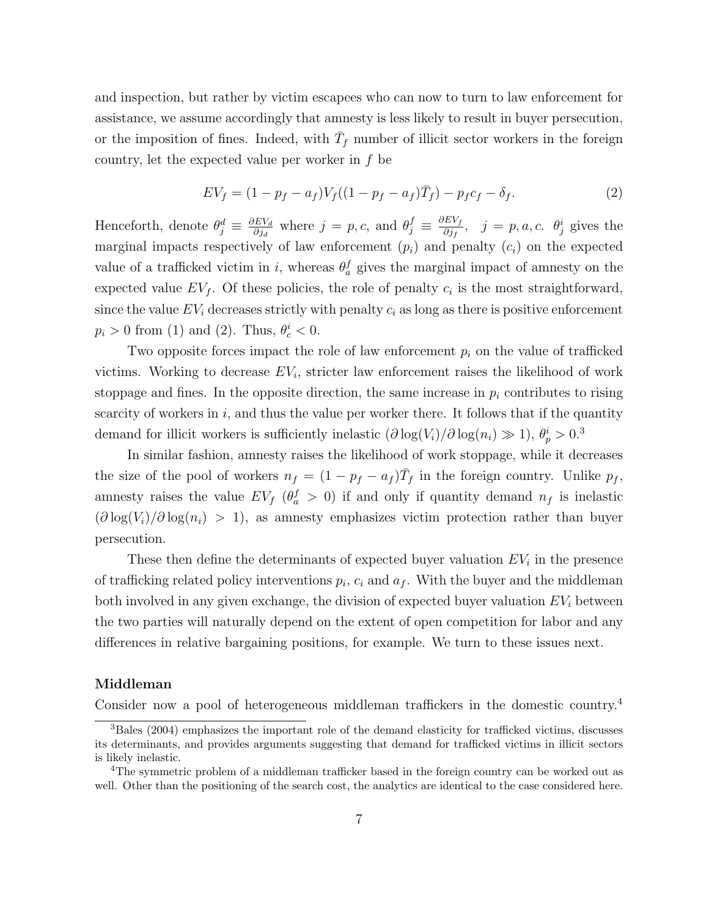and inspection, but rather by victim escapees who can now to turn to law enforcement for assistance, we assume accordingly that amnesty is less likely to result in buyer persecution, or the imposition of fines. Indeed, with  $\bar{T}_f$  number of illicit sector workers in the foreign country, let the expected value per worker in f be

$$
EV_f = (1 - p_f - a_f)V_f((1 - p_f - a_f)\bar{T}_f) - p_f c_f - \delta_f.
$$
 (2)

Henceforth, denote  $\theta_j^d \equiv \frac{\partial EV_d}{\partial i_d}$  $\frac{\partial E V_d}{\partial j_d}$  where  $j = p, c$ , and  $\theta_j^f \equiv \frac{\partial E V_f}{\partial j_f}$  $\frac{\partial E V_f}{\partial j_f}$ ,  $j = p, a, c$ .  $\theta_j^i$  gives the marginal impacts respectively of law enforcement  $(p_i)$  and penalty  $(c_i)$  on the expected value of a trafficked victim in i, whereas  $\theta_a^f$  gives the marginal impact of amnesty on the expected value  $EV_f$ . Of these policies, the role of penalty  $c_i$  is the most straightforward, since the value  $EV_i$  decreases strictly with penalty  $c_i$  as long as there is positive enforcement  $p_i > 0$  from (1) and (2). Thus,  $\theta_c^i < 0$ .

Two opposite forces impact the role of law enforcement  $p_i$  on the value of trafficked victims. Working to decrease  $EV_i$ , stricter law enforcement raises the likelihood of work stoppage and fines. In the opposite direction, the same increase in  $p_i$  contributes to rising scarcity of workers in  $i$ , and thus the value per worker there. It follows that if the quantity demand for illicit workers is sufficiently inelastic  $(\partial \log(V_i)/\partial \log(n_i) \gg 1)$ ,  $\theta_p^i > 0$ .<sup>3</sup>

In similar fashion, amnesty raises the likelihood of work stoppage, while it decreases the size of the pool of workers  $n_f = (1 - p_f - a_f) \bar{T}_f$  in the foreign country. Unlike  $p_f$ , amnesty raises the value  $EV_f$  ( $\theta_a^f > 0$ ) if and only if quantity demand  $n_f$  is inelastic  $(\partial \log(V_i)/\partial \log(n_i) > 1)$ , as amnesty emphasizes victim protection rather than buyer persecution.

These then define the determinants of expected buyer valuation  $EV_i$  in the presence of trafficking related policy interventions  $p_i$ ,  $c_i$  and  $a_f$ . With the buyer and the middleman both involved in any given exchange, the division of expected buyer valuation  $EV_i$  between the two parties will naturally depend on the extent of open competition for labor and any differences in relative bargaining positions, for example. We turn to these issues next.

#### Middleman

Consider now a pool of heterogeneous middleman traffickers in the domestic country.<sup>4</sup>

<sup>3</sup>Bales (2004) emphasizes the important role of the demand elasticity for trafficked victims, discusses its determinants, and provides arguments suggesting that demand for trafficked victims in illicit sectors is likely inelastic.

<sup>&</sup>lt;sup>4</sup>The symmetric problem of a middleman trafficker based in the foreign country can be worked out as well. Other than the positioning of the search cost, the analytics are identical to the case considered here.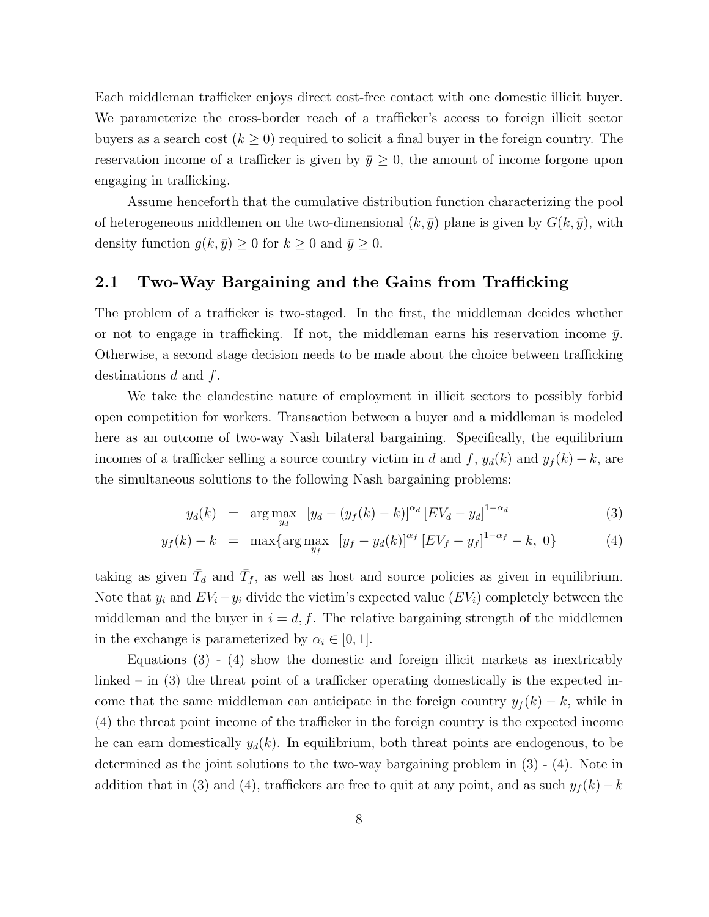Each middleman trafficker enjoys direct cost-free contact with one domestic illicit buyer. We parameterize the cross-border reach of a trafficker's access to foreign illicit sector buyers as a search cost  $(k \geq 0)$  required to solicit a final buyer in the foreign country. The reservation income of a trafficker is given by  $\bar{y} \geq 0$ , the amount of income forgone upon engaging in trafficking.

Assume henceforth that the cumulative distribution function characterizing the pool of heterogeneous middlemen on the two-dimensional  $(k, \bar{y})$  plane is given by  $G(k, \bar{y})$ , with density function  $g(k, \bar{y}) \geq 0$  for  $k \geq 0$  and  $\bar{y} \geq 0$ .

### 2.1 Two-Way Bargaining and the Gains from Trafficking

The problem of a trafficker is two-staged. In the first, the middleman decides whether or not to engage in trafficking. If not, the middleman earns his reservation income  $\bar{y}$ . Otherwise, a second stage decision needs to be made about the choice between trafficking destinations  $d$  and  $f$ .

We take the clandestine nature of employment in illicit sectors to possibly forbid open competition for workers. Transaction between a buyer and a middleman is modeled here as an outcome of two-way Nash bilateral bargaining. Specifically, the equilibrium incomes of a trafficker selling a source country victim in d and f,  $y_d(k)$  and  $y_f(k) - k$ , are the simultaneous solutions to the following Nash bargaining problems:

$$
y_d(k) = \arg \max_{y_d} \left[ y_d - (y_f(k) - k) \right]^{\alpha_d} \left[ EV_d - y_d \right]^{1 - \alpha_d} \tag{3}
$$

$$
y_f(k) - k = \max \{ \arg \max_{y_f} \left[ y_f - y_d(k) \right]^{\alpha_f} \left[ EV_f - y_f \right]^{1 - \alpha_f} - k, \ 0 \} \tag{4}
$$

taking as given  $\bar{T}_d$  and  $\bar{T}_f$ , as well as host and source policies as given in equilibrium. Note that  $y_i$  and  $EV_i - y_i$  divide the victim's expected value  $(EV_i)$  completely between the middleman and the buyer in  $i = d, f$ . The relative bargaining strength of the middlemen in the exchange is parameterized by  $\alpha_i \in [0, 1]$ .

Equations (3) - (4) show the domestic and foreign illicit markets as inextricably linked – in (3) the threat point of a trafficker operating domestically is the expected income that the same middleman can anticipate in the foreign country  $y_f(k) - k$ , while in (4) the threat point income of the trafficker in the foreign country is the expected income he can earn domestically  $y_d(k)$ . In equilibrium, both threat points are endogenous, to be determined as the joint solutions to the two-way bargaining problem in (3) - (4). Note in addition that in (3) and (4), traffickers are free to quit at any point, and as such  $y_f(k)-k$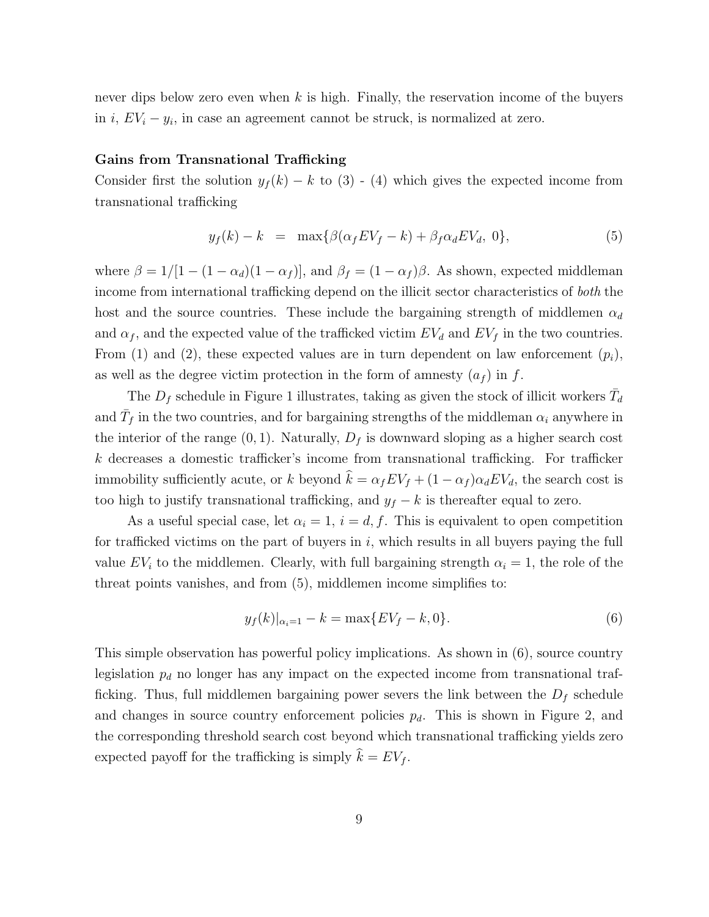never dips below zero even when  $k$  is high. Finally, the reservation income of the buyers in i,  $EV_i - y_i$ , in case an agreement cannot be struck, is normalized at zero.

### Gains from Transnational Trafficking

Consider first the solution  $y_f(k) - k$  to (3) - (4) which gives the expected income from transnational trafficking

$$
y_f(k) - k = \max\{\beta(\alpha_f E V_f - k) + \beta_f \alpha_d E V_d, 0\},\tag{5}
$$

where  $\beta = 1/[1 - (1 - \alpha_d)(1 - \alpha_f)]$ , and  $\beta_f = (1 - \alpha_f)\beta$ . As shown, expected middleman income from international trafficking depend on the illicit sector characteristics of both the host and the source countries. These include the bargaining strength of middlemen  $\alpha_d$ and  $\alpha_f$ , and the expected value of the trafficked victim  $EV_d$  and  $EV_f$  in the two countries. From (1) and (2), these expected values are in turn dependent on law enforcement  $(p_i)$ , as well as the degree victim protection in the form of amnesty  $(a_f)$  in f.

The  $D_f$  schedule in Figure 1 illustrates, taking as given the stock of illicit workers  $\bar{T}_d$ and  $\bar{T}_f$  in the two countries, and for bargaining strengths of the middleman  $\alpha_i$  anywhere in the interior of the range  $(0, 1)$ . Naturally,  $D_f$  is downward sloping as a higher search cost  $k$  decreases a domestic trafficker's income from transnational trafficking. For trafficker immobility sufficiently acute, or k beyond  $\hat{k} = \alpha_f E V_f + (1 - \alpha_f) \alpha_d E V_d$ , the search cost is too high to justify transnational trafficking, and  $y_f - k$  is thereafter equal to zero.

As a useful special case, let  $\alpha_i = 1$ ,  $i = d, f$ . This is equivalent to open competition for trafficked victims on the part of buyers in  $i$ , which results in all buyers paying the full value  $EV_i$  to the middlemen. Clearly, with full bargaining strength  $\alpha_i = 1$ , the role of the threat points vanishes, and from (5), middlemen income simplifies to:

$$
y_f(k)|_{\alpha_i=1} - k = \max\{EV_f - k, 0\}.
$$
 (6)

This simple observation has powerful policy implications. As shown in (6), source country legislation  $p_d$  no longer has any impact on the expected income from transnational trafficking. Thus, full middlemen bargaining power severs the link between the  $D_f$  schedule and changes in source country enforcement policies  $p_d$ . This is shown in Figure 2, and the corresponding threshold search cost beyond which transnational trafficking yields zero expected payoff for the trafficking is simply  $\hat{k} = EV_f$ .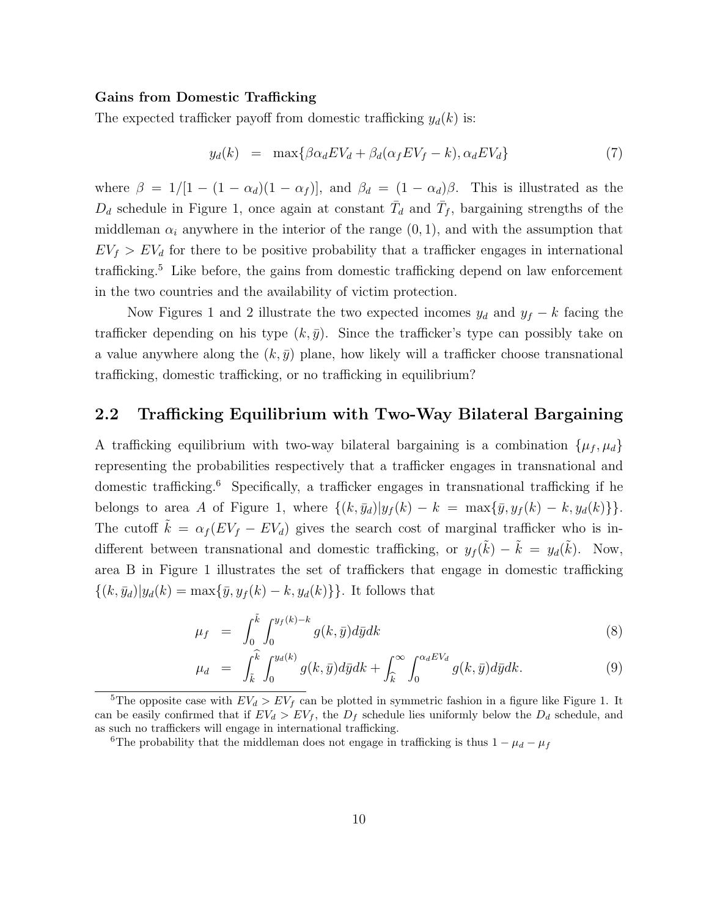#### Gains from Domestic Trafficking

The expected trafficker payoff from domestic trafficking  $y_d(k)$  is:

$$
y_d(k) = \max\{\beta\alpha_d EV_d + \beta_d(\alpha_f EV_f - k), \alpha_d EV_d\} \tag{7}
$$

where  $\beta = 1/[1 - (1 - \alpha_d)(1 - \alpha_f)],$  and  $\beta_d = (1 - \alpha_d)\beta$ . This is illustrated as the  $D_d$  schedule in Figure 1, once again at constant  $\bar{T}_d$  and  $\bar{T}_f$ , bargaining strengths of the middleman  $\alpha_i$  anywhere in the interior of the range  $(0, 1)$ , and with the assumption that  $EV_f > EV_d$  for there to be positive probability that a trafficker engages in international trafficking.<sup>5</sup> Like before, the gains from domestic trafficking depend on law enforcement in the two countries and the availability of victim protection.

Now Figures 1 and 2 illustrate the two expected incomes  $y_d$  and  $y_f - k$  facing the trafficker depending on his type  $(k, \bar{y})$ . Since the trafficker's type can possibly take on a value anywhere along the  $(k, \bar{y})$  plane, how likely will a trafficker choose transnational trafficking, domestic trafficking, or no trafficking in equilibrium?

### 2.2 Trafficking Equilibrium with Two-Way Bilateral Bargaining

A trafficking equilibrium with two-way bilateral bargaining is a combination  $\{\mu_f, \mu_d\}$ representing the probabilities respectively that a trafficker engages in transnational and domestic trafficking.<sup>6</sup> Specifically, a trafficker engages in transnational trafficking if he belongs to area A of Figure 1, where  $\{(k, \bar{y}_d)|y_f(k) - k = \max{\{\bar{y}, y_f(k) - k, y_d(k)\}}\}.$ The cutoff  $\tilde{k} = \alpha_f (EV_f - EV_d)$  gives the search cost of marginal trafficker who is indifferent between transnational and domestic trafficking, or  $y_f(\tilde{k}) - \tilde{k} = y_d(\tilde{k})$ . Now, area B in Figure 1 illustrates the set of traffickers that engage in domestic trafficking  $\{(k, \bar{y}_d)|y_d(k) = \max{\{\bar{y}, y_f(k) - k, y_d(k)\}\}.$  It follows that

$$
\mu_f = \int_0^{\tilde{k}} \int_0^{y_f(k)-k} g(k,\bar{y}) d\bar{y} dk \tag{8}
$$

$$
\mu_d = \int_{\tilde{k}}^{\tilde{k}} \int_0^{y_d(k)} g(k, \bar{y}) d\bar{y} dk + \int_{\tilde{k}}^{\infty} \int_0^{\alpha_d E V_d} g(k, \bar{y}) d\bar{y} dk.
$$
\n(9)

<sup>&</sup>lt;sup>5</sup>The opposite case with  $EV_d > EV_f$  can be plotted in symmetric fashion in a figure like Figure 1. It can be easily confirmed that if  $EV_d > EV_f$ , the  $D_f$  schedule lies uniformly below the  $D_d$  schedule, and as such no traffickers will engage in international trafficking.

<sup>&</sup>lt;sup>6</sup>The probability that the middleman does not engage in trafficking is thus  $1 - \mu_d - \mu_f$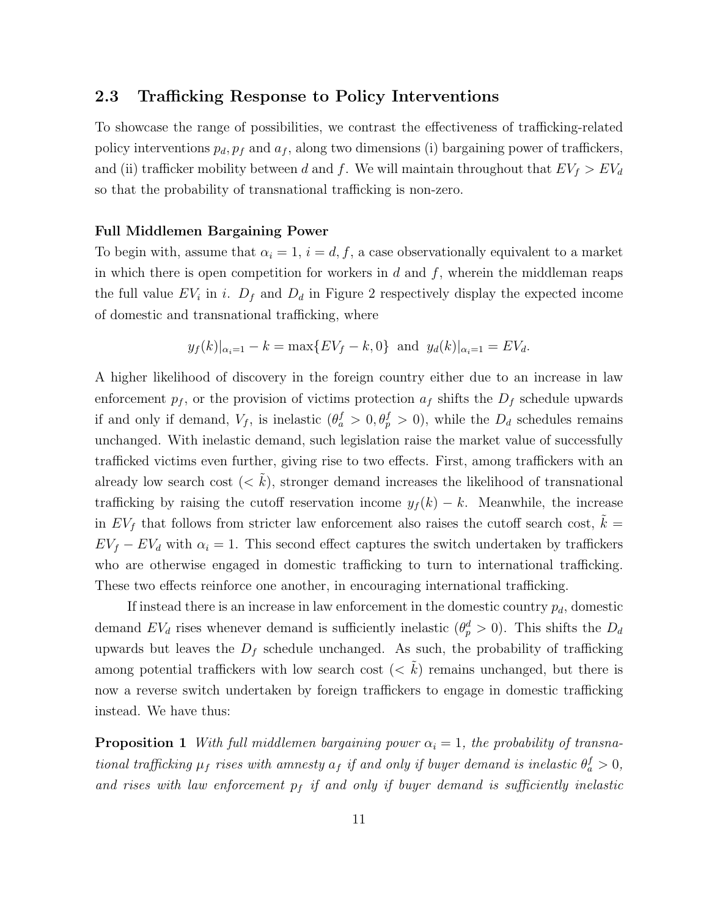#### 2.3 Trafficking Response to Policy Interventions

To showcase the range of possibilities, we contrast the effectiveness of trafficking-related policy interventions  $p_d$ ,  $p_f$  and  $a_f$ , along two dimensions (i) bargaining power of traffickers, and (ii) trafficker mobility between d and f. We will maintain throughout that  $EV_f > EV_d$ so that the probability of transnational trafficking is non-zero.

#### Full Middlemen Bargaining Power

To begin with, assume that  $\alpha_i = 1$ ,  $i = d, f$ , a case observationally equivalent to a market in which there is open competition for workers in d and  $f$ , wherein the middleman reaps the full value  $EV_i$  in i.  $D_f$  and  $D_d$  in Figure 2 respectively display the expected income of domestic and transnational trafficking, where

$$
y_f(k)|_{\alpha_i=1} - k = \max\{EV_f - k, 0\}
$$
 and  $y_d(k)|_{\alpha_i=1} = EV_d$ .

A higher likelihood of discovery in the foreign country either due to an increase in law enforcement  $p_f$ , or the provision of victims protection  $a_f$  shifts the  $D_f$  schedule upwards if and only if demand,  $V_f$ , is inelastic  $(\theta_a^f > 0, \theta_p^f > 0)$ , while the  $D_d$  schedules remains unchanged. With inelastic demand, such legislation raise the market value of successfully trafficked victims even further, giving rise to two effects. First, among traffickers with an already low search cost  $(< k$ ), stronger demand increases the likelihood of transnational trafficking by raising the cutoff reservation income  $y_f(k) - k$ . Meanwhile, the increase in  $EV_f$  that follows from stricter law enforcement also raises the cutoff search cost,  $\tilde{k} =$  $EV_f - EV_d$  with  $\alpha_i = 1$ . This second effect captures the switch undertaken by traffickers who are otherwise engaged in domestic trafficking to turn to international trafficking. These two effects reinforce one another, in encouraging international trafficking.

If instead there is an increase in law enforcement in the domestic country  $p_d$ , domestic demand  $EV_d$  rises whenever demand is sufficiently inelastic  $(\theta_p^d > 0)$ . This shifts the  $D_d$ upwards but leaves the  $D_f$  schedule unchanged. As such, the probability of trafficking among potential traffickers with low search cost  $(< k$ ) remains unchanged, but there is now a reverse switch undertaken by foreign traffickers to engage in domestic trafficking instead. We have thus:

**Proposition 1** With full middlemen bargaining power  $\alpha_i = 1$ , the probability of transnational trafficking  $\mu_f$  rises with amnesty  $a_f$  if and only if buyer demand is inelastic  $\theta_a^f > 0$ , and rises with law enforcement  $p_f$  if and only if buyer demand is sufficiently inelastic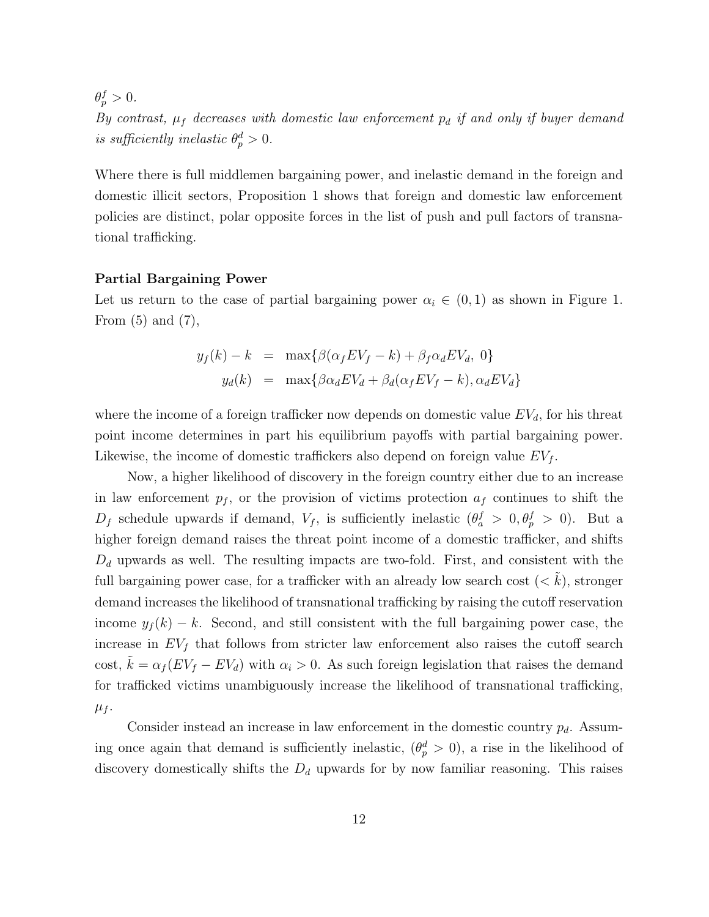$\theta_p^f > 0.$ 

By contrast,  $\mu_f$  decreases with domestic law enforcement  $p_d$  if and only if buyer demand is sufficiently inelastic  $\theta_p^d > 0$ .

Where there is full middlemen bargaining power, and inelastic demand in the foreign and domestic illicit sectors, Proposition 1 shows that foreign and domestic law enforcement policies are distinct, polar opposite forces in the list of push and pull factors of transnational trafficking.

#### Partial Bargaining Power

Let us return to the case of partial bargaining power  $\alpha_i \in (0,1)$  as shown in Figure 1. From  $(5)$  and  $(7)$ ,

$$
y_f(k) - k = \max\{\beta(\alpha_f E V_f - k) + \beta_f \alpha_d E V_d, 0\}
$$
  

$$
y_d(k) = \max\{\beta\alpha_d E V_d + \beta_d(\alpha_f E V_f - k), \alpha_d E V_d\}
$$

where the income of a foreign trafficker now depends on domestic value  $EV<sub>d</sub>$ , for his threat point income determines in part his equilibrium payoffs with partial bargaining power. Likewise, the income of domestic traffickers also depend on foreign value  $EV_f$ .

Now, a higher likelihood of discovery in the foreign country either due to an increase in law enforcement  $p_f$ , or the provision of victims protection  $a_f$  continues to shift the  $D_f$  schedule upwards if demand,  $V_f$ , is sufficiently inelastic  $(\theta_a^f > 0, \theta_p^f > 0)$ . But a higher foreign demand raises the threat point income of a domestic trafficker, and shifts  $D_d$  upwards as well. The resulting impacts are two-fold. First, and consistent with the full bargaining power case, for a trafficker with an already low search cost  $(< k$ ), stronger demand increases the likelihood of transnational trafficking by raising the cutoff reservation income  $y_f(k) - k$ . Second, and still consistent with the full bargaining power case, the increase in  $EV_f$  that follows from stricter law enforcement also raises the cutoff search cost,  $k = \alpha_f (EV_f - EV_d)$  with  $\alpha_i > 0$ . As such foreign legislation that raises the demand for trafficked victims unambiguously increase the likelihood of transnational trafficking,  $\mu_f$ .

Consider instead an increase in law enforcement in the domestic country  $p_d$ . Assuming once again that demand is sufficiently inelastic,  $(\theta_p^d > 0)$ , a rise in the likelihood of discovery domestically shifts the  $D_d$  upwards for by now familiar reasoning. This raises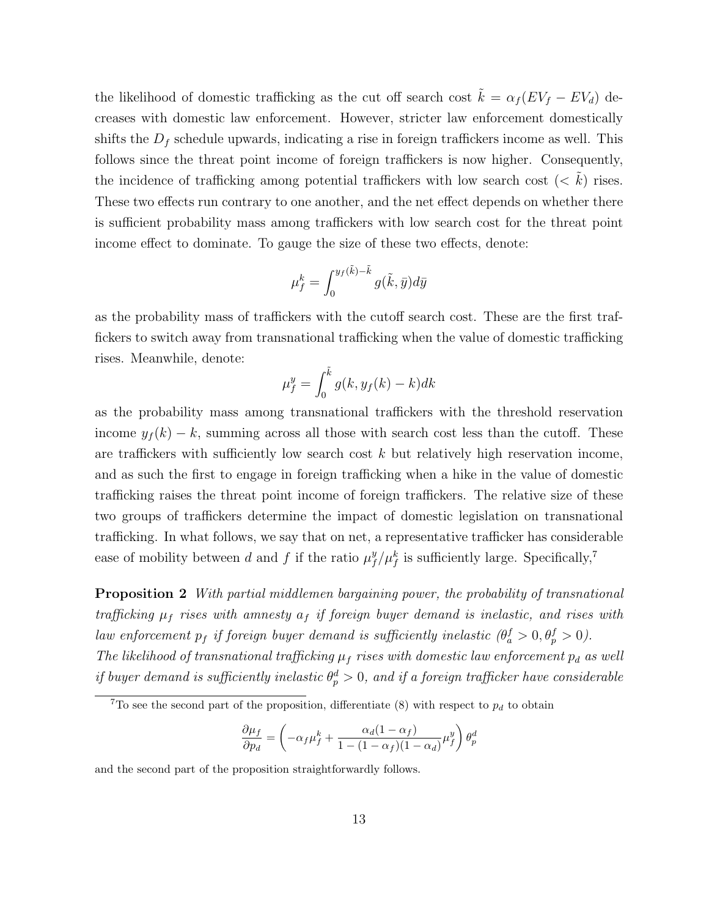the likelihood of domestic trafficking as the cut off search cost  $\tilde{k} = \alpha_f (EV_f - EV_d)$  decreases with domestic law enforcement. However, stricter law enforcement domestically shifts the  $D_f$  schedule upwards, indicating a rise in foreign traffickers income as well. This follows since the threat point income of foreign traffickers is now higher. Consequently, the incidence of trafficking among potential traffickers with low search cost  $(< k)$  rises. These two effects run contrary to one another, and the net effect depends on whether there is sufficient probability mass among traffickers with low search cost for the threat point income effect to dominate. To gauge the size of these two effects, denote:

$$
\mu_f^k = \int_0^{y_f(\tilde{k}) - \tilde{k}} g(\tilde{k}, \bar{y}) d\bar{y}
$$

as the probability mass of traffickers with the cutoff search cost. These are the first traffickers to switch away from transnational trafficking when the value of domestic trafficking rises. Meanwhile, denote:

$$
\mu_f^y = \int_0^{\tilde{k}} g(k, y_f(k) - k) dk
$$

as the probability mass among transnational traffickers with the threshold reservation income  $y_f(k) - k$ , summing across all those with search cost less than the cutoff. These are traffickers with sufficiently low search cost  $k$  but relatively high reservation income, and as such the first to engage in foreign trafficking when a hike in the value of domestic trafficking raises the threat point income of foreign traffickers. The relative size of these two groups of traffickers determine the impact of domestic legislation on transnational trafficking. In what follows, we say that on net, a representative trafficker has considerable ease of mobility between d and f if the ratio  $\mu_f^y$  $\int f/\mu_f^k$  is sufficiently large. Specifically,<sup>7</sup>

**Proposition 2** With partial middlemen bargaining power, the probability of transnational trafficking  $\mu_f$  rises with amnesty  $a_f$  if foreign buyer demand is inelastic, and rises with law enforcement  $p_f$  if foreign buyer demand is sufficiently inelastic  $(\theta_a^f > 0, \theta_p^f > 0)$ . The likelihood of transnational trafficking  $\mu_f$  rises with domestic law enforcement  $p_d$  as well if buyer demand is sufficiently inelastic  $\theta_p^d > 0$ , and if a foreign trafficker have considerable

$$
\frac{\partial \mu_f}{\partial p_d} = \left( -\alpha_f \mu_f^k + \frac{\alpha_d (1 - \alpha_f)}{1 - (1 - \alpha_f)(1 - \alpha_d)} \mu_f^y \right) \theta_p^d
$$

and the second part of the proposition straightforwardly follows.

<sup>&</sup>lt;sup>7</sup>To see the second part of the proposition, differentiate (8) with respect to  $p_d$  to obtain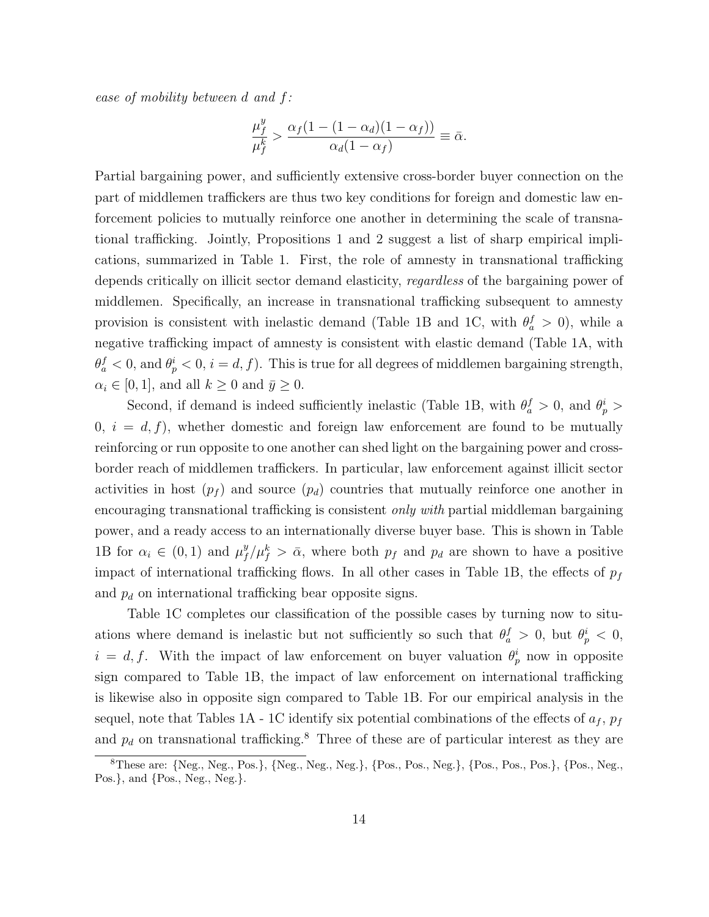ease of mobility between d and f:

$$
\frac{\mu_f^y}{\mu_f^k} > \frac{\alpha_f (1 - (1 - \alpha_d)(1 - \alpha_f))}{\alpha_d (1 - \alpha_f)} \equiv \bar{\alpha}.
$$

Partial bargaining power, and sufficiently extensive cross-border buyer connection on the part of middlemen traffickers are thus two key conditions for foreign and domestic law enforcement policies to mutually reinforce one another in determining the scale of transnational trafficking. Jointly, Propositions 1 and 2 suggest a list of sharp empirical implications, summarized in Table 1. First, the role of amnesty in transnational trafficking depends critically on illicit sector demand elasticity, regardless of the bargaining power of middlemen. Specifically, an increase in transnational trafficking subsequent to amnesty provision is consistent with inelastic demand (Table 1B and 1C, with  $\theta_a^f > 0$ ), while a negative trafficking impact of amnesty is consistent with elastic demand (Table 1A, with  $\theta_a^f < 0$ , and  $\theta_p^i < 0$ ,  $i = d, f$ ). This is true for all degrees of middlemen bargaining strength,  $\alpha_i \in [0, 1]$ , and all  $k \geq 0$  and  $\bar{y} \geq 0$ .

Second, if demand is indeed sufficiently inelastic (Table 1B, with  $\theta_a^f > 0$ , and  $\theta_p^i >$  $0, i = d, f$ , whether domestic and foreign law enforcement are found to be mutually reinforcing or run opposite to one another can shed light on the bargaining power and crossborder reach of middlemen traffickers. In particular, law enforcement against illicit sector activities in host  $(p_f)$  and source  $(p_d)$  countries that mutually reinforce one another in encouraging transnational trafficking is consistent *only with* partial middleman bargaining power, and a ready access to an internationally diverse buyer base. This is shown in Table 1B for  $\alpha_i \in (0,1)$  and  $\mu_f^y$  $f^y/\mu_f^k > \bar{\alpha}$ , where both  $p_f$  and  $p_d$  are shown to have a positive impact of international trafficking flows. In all other cases in Table 1B, the effects of  $p_f$ and  $p_d$  on international trafficking bear opposite signs.

Table 1C completes our classification of the possible cases by turning now to situations where demand is inelastic but not sufficiently so such that  $\theta_a^f > 0$ , but  $\theta_p^i < 0$ ,  $i = d, f$ . With the impact of law enforcement on buyer valuation  $\theta_p^i$  now in opposite sign compared to Table 1B, the impact of law enforcement on international trafficking is likewise also in opposite sign compared to Table 1B. For our empirical analysis in the sequel, note that Tables 1A - 1C identify six potential combinations of the effects of  $a_f,\,p_f$ and  $p_d$  on transnational trafficking.<sup>8</sup> Three of these are of particular interest as they are

<sup>8</sup>These are: {Neg., Neg., Pos.}, {Neg., Neg., Neg.}, {Pos., Pos., Neg.}, {Pos., Pos., Pos.}, {Pos., Neg., Pos.}, and {Pos., Neg., Neg.}.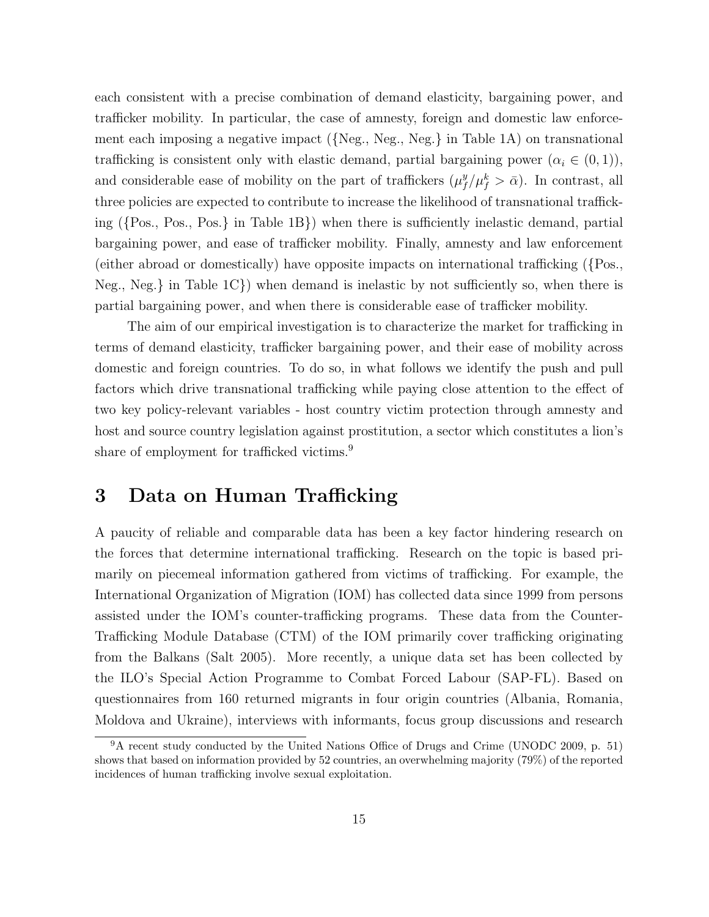each consistent with a precise combination of demand elasticity, bargaining power, and trafficker mobility. In particular, the case of amnesty, foreign and domestic law enforcement each imposing a negative impact ({Neg., Neg., Neg.} in Table 1A) on transnational trafficking is consistent only with elastic demand, partial bargaining power  $(\alpha_i \in (0,1)),$ and considerable ease of mobility on the part of traffickers  $(\mu_f^y)$  $_{f}^{y}/\mu_{f}^{k} > \bar{\alpha}$ ). In contrast, all three policies are expected to contribute to increase the likelihood of transnational trafficking ({Pos., Pos., Pos.} in Table 1B}) when there is sufficiently inelastic demand, partial bargaining power, and ease of trafficker mobility. Finally, amnesty and law enforcement (either abroad or domestically) have opposite impacts on international trafficking ({Pos., Neg., Neg.  $\{$  in Table 1C $\}$ ) when demand is inelastic by not sufficiently so, when there is partial bargaining power, and when there is considerable ease of trafficker mobility.

The aim of our empirical investigation is to characterize the market for trafficking in terms of demand elasticity, trafficker bargaining power, and their ease of mobility across domestic and foreign countries. To do so, in what follows we identify the push and pull factors which drive transnational trafficking while paying close attention to the effect of two key policy-relevant variables - host country victim protection through amnesty and host and source country legislation against prostitution, a sector which constitutes a lion's share of employment for trafficked victims.<sup>9</sup>

## 3 Data on Human Trafficking

A paucity of reliable and comparable data has been a key factor hindering research on the forces that determine international trafficking. Research on the topic is based primarily on piecemeal information gathered from victims of trafficking. For example, the International Organization of Migration (IOM) has collected data since 1999 from persons assisted under the IOM's counter-trafficking programs. These data from the Counter-Trafficking Module Database (CTM) of the IOM primarily cover trafficking originating from the Balkans (Salt 2005). More recently, a unique data set has been collected by the ILO's Special Action Programme to Combat Forced Labour (SAP-FL). Based on questionnaires from 160 returned migrants in four origin countries (Albania, Romania, Moldova and Ukraine), interviews with informants, focus group discussions and research

 $9A$  recent study conducted by the United Nations Office of Drugs and Crime (UNODC 2009, p. 51) shows that based on information provided by 52 countries, an overwhelming majority (79%) of the reported incidences of human trafficking involve sexual exploitation.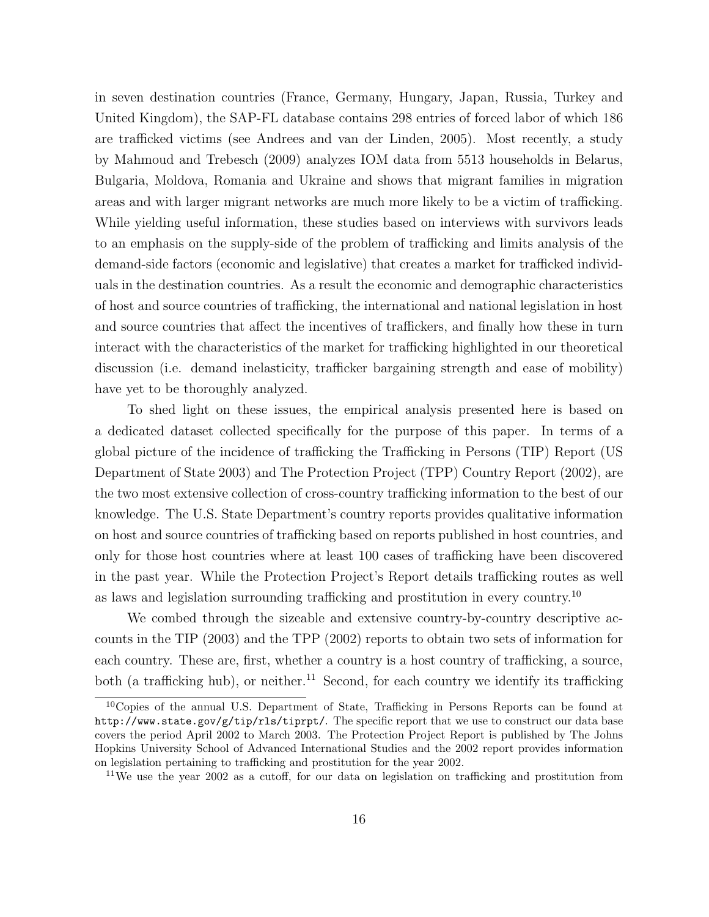in seven destination countries (France, Germany, Hungary, Japan, Russia, Turkey and United Kingdom), the SAP-FL database contains 298 entries of forced labor of which 186 are trafficked victims (see Andrees and van der Linden, 2005). Most recently, a study by Mahmoud and Trebesch (2009) analyzes IOM data from 5513 households in Belarus, Bulgaria, Moldova, Romania and Ukraine and shows that migrant families in migration areas and with larger migrant networks are much more likely to be a victim of trafficking. While yielding useful information, these studies based on interviews with survivors leads to an emphasis on the supply-side of the problem of trafficking and limits analysis of the demand-side factors (economic and legislative) that creates a market for trafficked individuals in the destination countries. As a result the economic and demographic characteristics of host and source countries of trafficking, the international and national legislation in host and source countries that affect the incentives of traffickers, and finally how these in turn interact with the characteristics of the market for trafficking highlighted in our theoretical discussion (i.e. demand inelasticity, trafficker bargaining strength and ease of mobility) have yet to be thoroughly analyzed.

To shed light on these issues, the empirical analysis presented here is based on a dedicated dataset collected specifically for the purpose of this paper. In terms of a global picture of the incidence of trafficking the Trafficking in Persons (TIP) Report (US Department of State 2003) and The Protection Project (TPP) Country Report (2002), are the two most extensive collection of cross-country trafficking information to the best of our knowledge. The U.S. State Department's country reports provides qualitative information on host and source countries of trafficking based on reports published in host countries, and only for those host countries where at least 100 cases of trafficking have been discovered in the past year. While the Protection Project's Report details trafficking routes as well as laws and legislation surrounding trafficking and prostitution in every country.<sup>10</sup>

We combed through the sizeable and extensive country-by-country descriptive accounts in the TIP (2003) and the TPP (2002) reports to obtain two sets of information for each country. These are, first, whether a country is a host country of trafficking, a source, both (a trafficking hub), or neither.<sup>11</sup> Second, for each country we identify its trafficking

<sup>10</sup>Copies of the annual U.S. Department of State, Trafficking in Persons Reports can be found at http://www.state.gov/g/tip/rls/tiprpt/. The specific report that we use to construct our data base covers the period April 2002 to March 2003. The Protection Project Report is published by The Johns Hopkins University School of Advanced International Studies and the 2002 report provides information on legislation pertaining to trafficking and prostitution for the year 2002.

<sup>&</sup>lt;sup>11</sup>We use the year 2002 as a cutoff, for our data on legislation on trafficking and prostitution from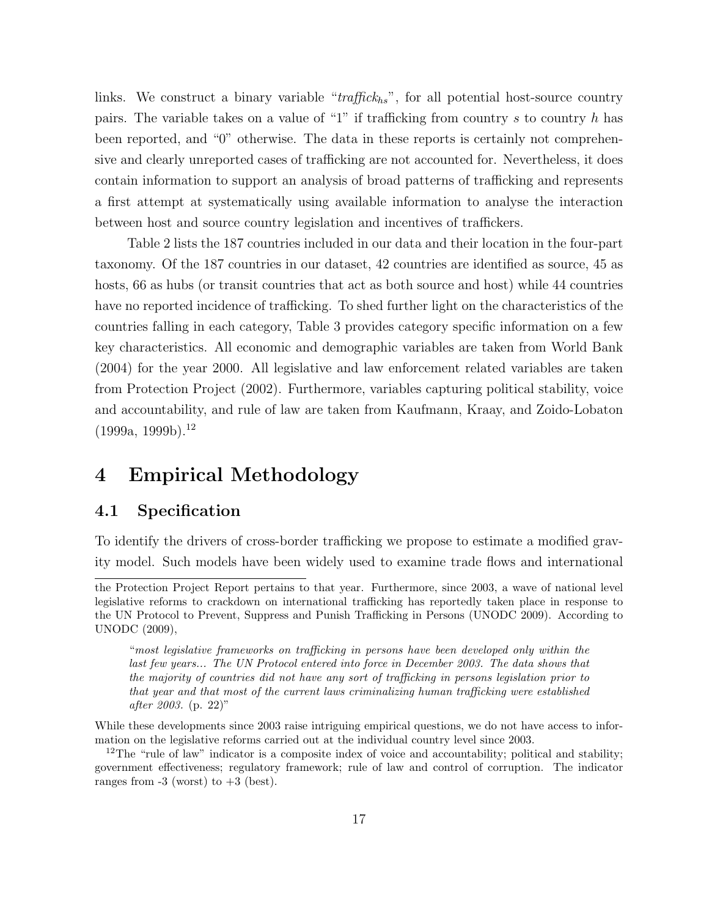links. We construct a binary variable " $traffick_{hs}$ ", for all potential host-source country pairs. The variable takes on a value of "1" if trafficking from country s to country h has been reported, and "0" otherwise. The data in these reports is certainly not comprehensive and clearly unreported cases of trafficking are not accounted for. Nevertheless, it does contain information to support an analysis of broad patterns of trafficking and represents a first attempt at systematically using available information to analyse the interaction between host and source country legislation and incentives of traffickers.

Table 2 lists the 187 countries included in our data and their location in the four-part taxonomy. Of the 187 countries in our dataset, 42 countries are identified as source, 45 as hosts, 66 as hubs (or transit countries that act as both source and host) while 44 countries have no reported incidence of trafficking. To shed further light on the characteristics of the countries falling in each category, Table 3 provides category specific information on a few key characteristics. All economic and demographic variables are taken from World Bank (2004) for the year 2000. All legislative and law enforcement related variables are taken from Protection Project (2002). Furthermore, variables capturing political stability, voice and accountability, and rule of law are taken from Kaufmann, Kraay, and Zoido-Lobaton  $(1999a, 1999b).$ <sup>12</sup>

# 4 Empirical Methodology

### 4.1 Specification

To identify the drivers of cross-border trafficking we propose to estimate a modified gravity model. Such models have been widely used to examine trade flows and international

"most legislative frameworks on trafficking in persons have been developed only within the last few years... The UN Protocol entered into force in December 2003. The data shows that the majority of countries did not have any sort of trafficking in persons legislation prior to that year and that most of the current laws criminalizing human trafficking were established after 2003. (p. 22)"

While these developments since 2003 raise intriguing empirical questions, we do not have access to information on the legislative reforms carried out at the individual country level since 2003.

<sup>12</sup>The "rule of law" indicator is a composite index of voice and accountability; political and stability; government effectiveness; regulatory framework; rule of law and control of corruption. The indicator ranges from  $-3$  (worst) to  $+3$  (best).

the Protection Project Report pertains to that year. Furthermore, since 2003, a wave of national level legislative reforms to crackdown on international trafficking has reportedly taken place in response to the UN Protocol to Prevent, Suppress and Punish Trafficking in Persons (UNODC 2009). According to UNODC (2009),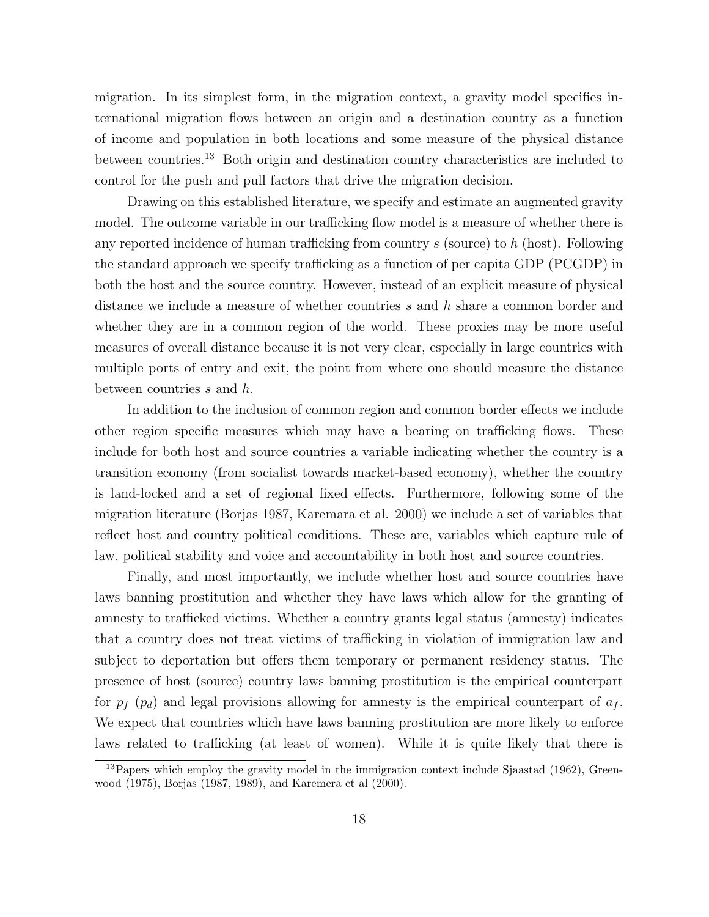migration. In its simplest form, in the migration context, a gravity model specifies international migration flows between an origin and a destination country as a function of income and population in both locations and some measure of the physical distance between countries.<sup>13</sup> Both origin and destination country characteristics are included to control for the push and pull factors that drive the migration decision.

Drawing on this established literature, we specify and estimate an augmented gravity model. The outcome variable in our trafficking flow model is a measure of whether there is any reported incidence of human trafficking from country s (source) to h (host). Following the standard approach we specify trafficking as a function of per capita GDP (PCGDP) in both the host and the source country. However, instead of an explicit measure of physical distance we include a measure of whether countries s and h share a common border and whether they are in a common region of the world. These proxies may be more useful measures of overall distance because it is not very clear, especially in large countries with multiple ports of entry and exit, the point from where one should measure the distance between countries s and h.

In addition to the inclusion of common region and common border effects we include other region specific measures which may have a bearing on trafficking flows. These include for both host and source countries a variable indicating whether the country is a transition economy (from socialist towards market-based economy), whether the country is land-locked and a set of regional fixed effects. Furthermore, following some of the migration literature (Borjas 1987, Karemara et al. 2000) we include a set of variables that reflect host and country political conditions. These are, variables which capture rule of law, political stability and voice and accountability in both host and source countries.

Finally, and most importantly, we include whether host and source countries have laws banning prostitution and whether they have laws which allow for the granting of amnesty to trafficked victims. Whether a country grants legal status (amnesty) indicates that a country does not treat victims of trafficking in violation of immigration law and subject to deportation but offers them temporary or permanent residency status. The presence of host (source) country laws banning prostitution is the empirical counterpart for  $p_f$  ( $p_d$ ) and legal provisions allowing for amnesty is the empirical counterpart of  $a_f$ . We expect that countries which have laws banning prostitution are more likely to enforce laws related to trafficking (at least of women). While it is quite likely that there is

 $13$ Papers which employ the gravity model in the immigration context include Sjaastad (1962), Greenwood (1975), Borjas (1987, 1989), and Karemera et al (2000).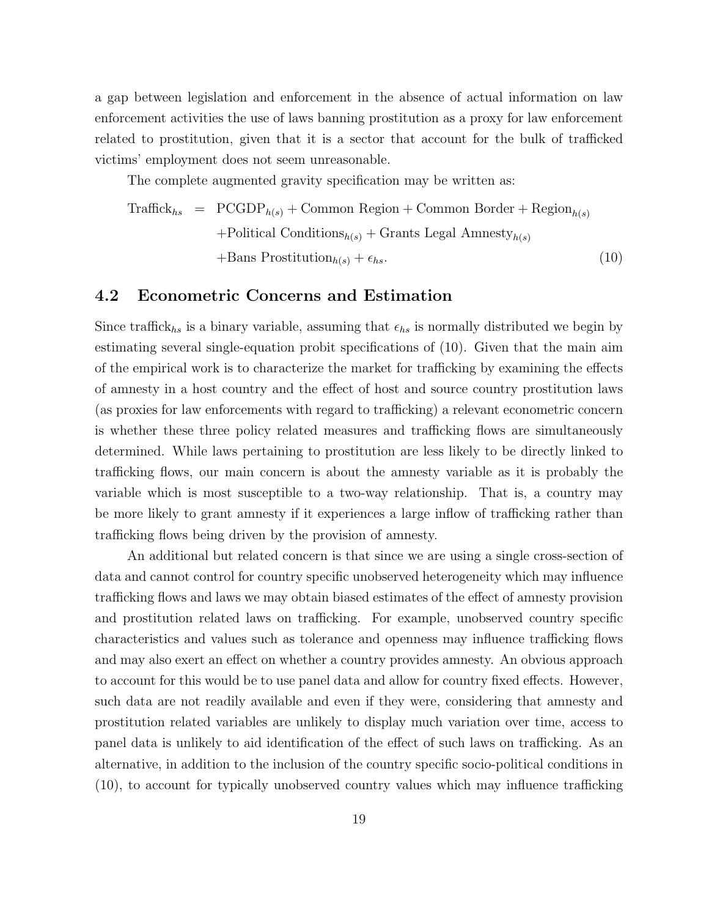a gap between legislation and enforcement in the absence of actual information on law enforcement activities the use of laws banning prostitution as a proxy for law enforcement related to prostitution, given that it is a sector that account for the bulk of trafficked victims' employment does not seem unreasonable.

The complete augmented gravity specification may be written as:

$$
\begin{aligned}\n\text{Traffick}_{hs} &= \text{PCGDP}_{h(s)} + \text{Common Region} + \text{Common Border} + \text{Region}_{h(s)} \\
&\quad + \text{Politional Conditions}_{h(s)} + \text{Grants Legal Amnesty}_{h(s)} \\
&\quad + \text{Bans Prostitution}_{h(s)} + \epsilon_{hs}.\n\end{aligned}\n\tag{10}
$$

### 4.2 Econometric Concerns and Estimation

Since traffick<sub>hs</sub> is a binary variable, assuming that  $\epsilon_{hs}$  is normally distributed we begin by estimating several single-equation probit specifications of (10). Given that the main aim of the empirical work is to characterize the market for trafficking by examining the effects of amnesty in a host country and the effect of host and source country prostitution laws (as proxies for law enforcements with regard to trafficking) a relevant econometric concern is whether these three policy related measures and trafficking flows are simultaneously determined. While laws pertaining to prostitution are less likely to be directly linked to trafficking flows, our main concern is about the amnesty variable as it is probably the variable which is most susceptible to a two-way relationship. That is, a country may be more likely to grant amnesty if it experiences a large inflow of trafficking rather than trafficking flows being driven by the provision of amnesty.

An additional but related concern is that since we are using a single cross-section of data and cannot control for country specific unobserved heterogeneity which may influence trafficking flows and laws we may obtain biased estimates of the effect of amnesty provision and prostitution related laws on trafficking. For example, unobserved country specific characteristics and values such as tolerance and openness may influence trafficking flows and may also exert an effect on whether a country provides amnesty. An obvious approach to account for this would be to use panel data and allow for country fixed effects. However, such data are not readily available and even if they were, considering that amnesty and prostitution related variables are unlikely to display much variation over time, access to panel data is unlikely to aid identification of the effect of such laws on trafficking. As an alternative, in addition to the inclusion of the country specific socio-political conditions in (10), to account for typically unobserved country values which may influence trafficking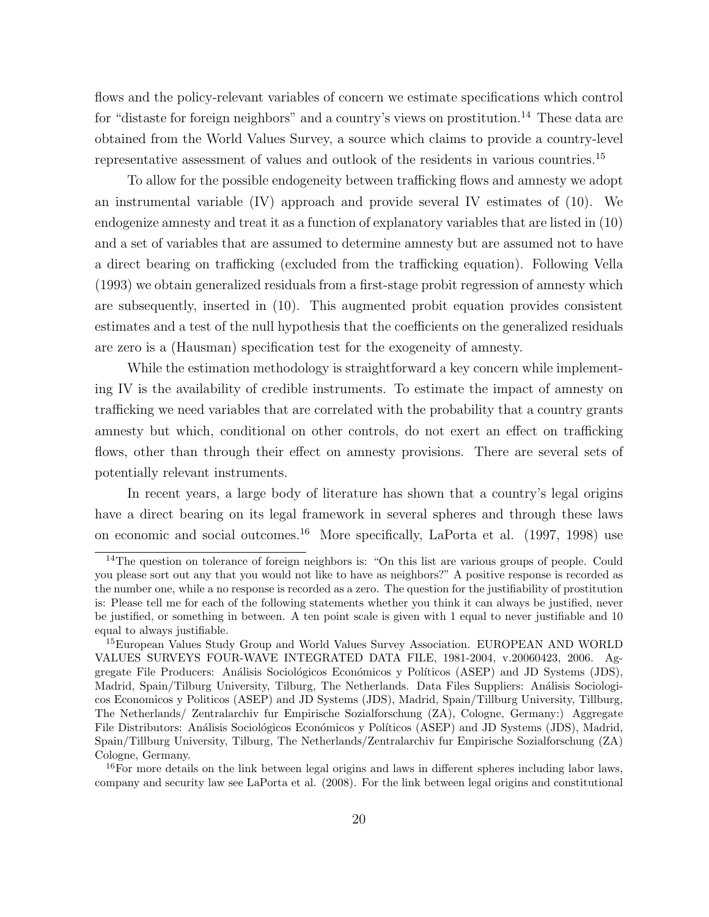flows and the policy-relevant variables of concern we estimate specifications which control for "distaste for foreign neighbors" and a country's views on prostitution.<sup>14</sup> These data are obtained from the World Values Survey, a source which claims to provide a country-level representative assessment of values and outlook of the residents in various countries.<sup>15</sup>

To allow for the possible endogeneity between trafficking flows and amnesty we adopt an instrumental variable (IV) approach and provide several IV estimates of (10). We endogenize amnesty and treat it as a function of explanatory variables that are listed in (10) and a set of variables that are assumed to determine amnesty but are assumed not to have a direct bearing on trafficking (excluded from the trafficking equation). Following Vella (1993) we obtain generalized residuals from a first-stage probit regression of amnesty which are subsequently, inserted in (10). This augmented probit equation provides consistent estimates and a test of the null hypothesis that the coefficients on the generalized residuals are zero is a (Hausman) specification test for the exogeneity of amnesty.

While the estimation methodology is straightforward a key concern while implementing IV is the availability of credible instruments. To estimate the impact of amnesty on trafficking we need variables that are correlated with the probability that a country grants amnesty but which, conditional on other controls, do not exert an effect on trafficking flows, other than through their effect on amnesty provisions. There are several sets of potentially relevant instruments.

In recent years, a large body of literature has shown that a country's legal origins have a direct bearing on its legal framework in several spheres and through these laws on economic and social outcomes.<sup>16</sup> More specifically, LaPorta et al.  $(1997, 1998)$  use

<sup>&</sup>lt;sup>14</sup>The question on tolerance of foreign neighbors is: "On this list are various groups of people. Could you please sort out any that you would not like to have as neighbors?" A positive response is recorded as the number one, while a no response is recorded as a zero. The question for the justifiability of prostitution is: Please tell me for each of the following statements whether you think it can always be justified, never be justified, or something in between. A ten point scale is given with 1 equal to never justifiable and 10 equal to always justifiable.

<sup>15</sup>European Values Study Group and World Values Survey Association. EUROPEAN AND WORLD VALUES SURVEYS FOUR-WAVE INTEGRATED DATA FILE, 1981-2004, v.20060423, 2006. Aggregate File Producers: Análisis Sociológicos Económicos y Políticos (ASEP) and JD Systems (JDS), Madrid, Spain/Tilburg University, Tilburg, The Netherlands. Data Files Suppliers: Análisis Sociologicos Economicos y Politicos (ASEP) and JD Systems (JDS), Madrid, Spain/Tillburg University, Tillburg, The Netherlands/ Zentralarchiv fur Empirische Sozialforschung (ZA), Cologne, Germany:) Aggregate File Distributors: Análisis Sociológicos Económicos y Políticos (ASEP) and JD Systems (JDS), Madrid, Spain/Tillburg University, Tilburg, The Netherlands/Zentralarchiv fur Empirische Sozialforschung (ZA) Cologne, Germany.

<sup>&</sup>lt;sup>16</sup>For more details on the link between legal origins and laws in different spheres including labor laws, company and security law see LaPorta et al. (2008). For the link between legal origins and constitutional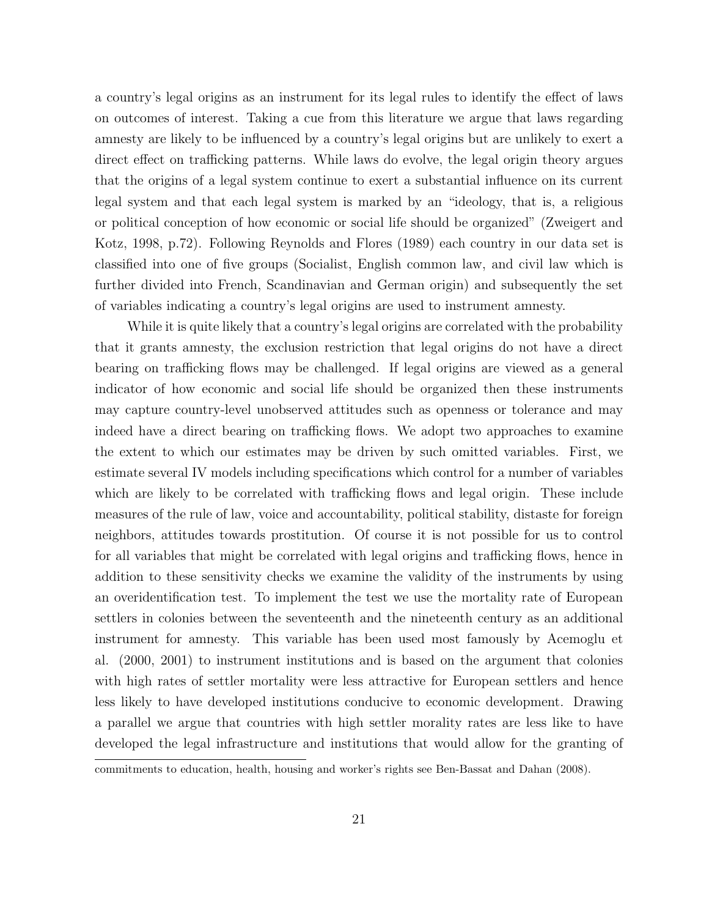a country's legal origins as an instrument for its legal rules to identify the effect of laws on outcomes of interest. Taking a cue from this literature we argue that laws regarding amnesty are likely to be influenced by a country's legal origins but are unlikely to exert a direct effect on trafficking patterns. While laws do evolve, the legal origin theory argues that the origins of a legal system continue to exert a substantial influence on its current legal system and that each legal system is marked by an "ideology, that is, a religious or political conception of how economic or social life should be organized" (Zweigert and Kotz, 1998, p.72). Following Reynolds and Flores (1989) each country in our data set is classified into one of five groups (Socialist, English common law, and civil law which is further divided into French, Scandinavian and German origin) and subsequently the set of variables indicating a country's legal origins are used to instrument amnesty.

While it is quite likely that a country's legal origins are correlated with the probability that it grants amnesty, the exclusion restriction that legal origins do not have a direct bearing on trafficking flows may be challenged. If legal origins are viewed as a general indicator of how economic and social life should be organized then these instruments may capture country-level unobserved attitudes such as openness or tolerance and may indeed have a direct bearing on trafficking flows. We adopt two approaches to examine the extent to which our estimates may be driven by such omitted variables. First, we estimate several IV models including specifications which control for a number of variables which are likely to be correlated with trafficking flows and legal origin. These include measures of the rule of law, voice and accountability, political stability, distaste for foreign neighbors, attitudes towards prostitution. Of course it is not possible for us to control for all variables that might be correlated with legal origins and trafficking flows, hence in addition to these sensitivity checks we examine the validity of the instruments by using an overidentification test. To implement the test we use the mortality rate of European settlers in colonies between the seventeenth and the nineteenth century as an additional instrument for amnesty. This variable has been used most famously by Acemoglu et al. (2000, 2001) to instrument institutions and is based on the argument that colonies with high rates of settler mortality were less attractive for European settlers and hence less likely to have developed institutions conducive to economic development. Drawing a parallel we argue that countries with high settler morality rates are less like to have developed the legal infrastructure and institutions that would allow for the granting of

commitments to education, health, housing and worker's rights see Ben-Bassat and Dahan (2008).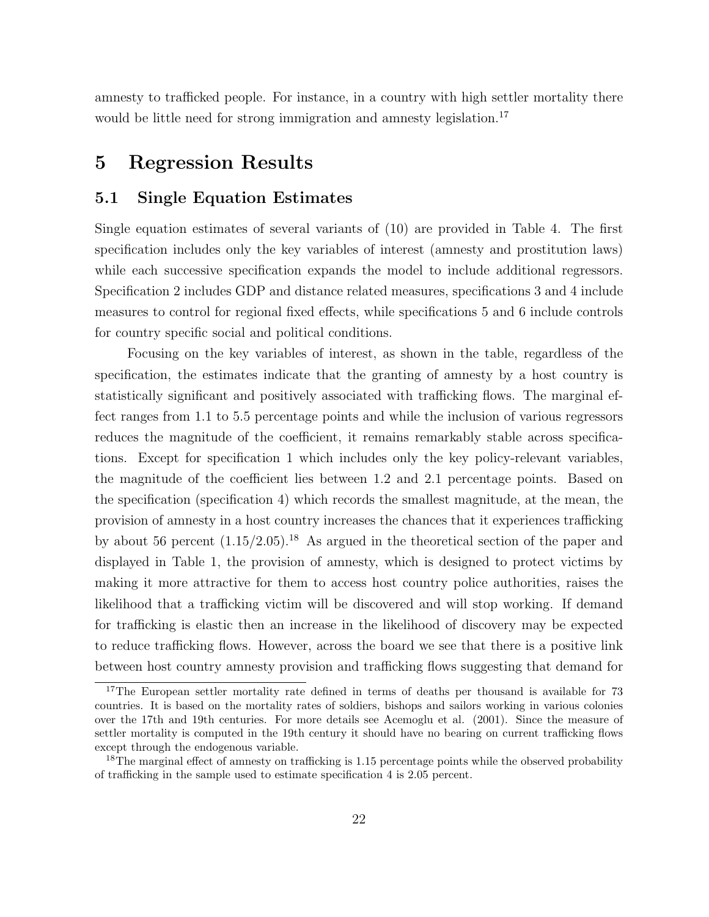amnesty to trafficked people. For instance, in a country with high settler mortality there would be little need for strong immigration and amnesty legislation.<sup>17</sup>

## 5 Regression Results

### 5.1 Single Equation Estimates

Single equation estimates of several variants of (10) are provided in Table 4. The first specification includes only the key variables of interest (amnesty and prostitution laws) while each successive specification expands the model to include additional regressors. Specification 2 includes GDP and distance related measures, specifications 3 and 4 include measures to control for regional fixed effects, while specifications 5 and 6 include controls for country specific social and political conditions.

Focusing on the key variables of interest, as shown in the table, regardless of the specification, the estimates indicate that the granting of amnesty by a host country is statistically significant and positively associated with trafficking flows. The marginal effect ranges from 1.1 to 5.5 percentage points and while the inclusion of various regressors reduces the magnitude of the coefficient, it remains remarkably stable across specifications. Except for specification 1 which includes only the key policy-relevant variables, the magnitude of the coefficient lies between 1.2 and 2.1 percentage points. Based on the specification (specification 4) which records the smallest magnitude, at the mean, the provision of amnesty in a host country increases the chances that it experiences trafficking by about 56 percent  $(1.15/2.05)^{18}$ . As argued in the theoretical section of the paper and displayed in Table 1, the provision of amnesty, which is designed to protect victims by making it more attractive for them to access host country police authorities, raises the likelihood that a trafficking victim will be discovered and will stop working. If demand for trafficking is elastic then an increase in the likelihood of discovery may be expected to reduce trafficking flows. However, across the board we see that there is a positive link between host country amnesty provision and trafficking flows suggesting that demand for

<sup>&</sup>lt;sup>17</sup>The European settler mortality rate defined in terms of deaths per thousand is available for 73 countries. It is based on the mortality rates of soldiers, bishops and sailors working in various colonies over the 17th and 19th centuries. For more details see Acemoglu et al. (2001). Since the measure of settler mortality is computed in the 19th century it should have no bearing on current trafficking flows except through the endogenous variable.

<sup>&</sup>lt;sup>18</sup>The marginal effect of amnesty on trafficking is  $1.15$  percentage points while the observed probability of trafficking in the sample used to estimate specification 4 is 2.05 percent.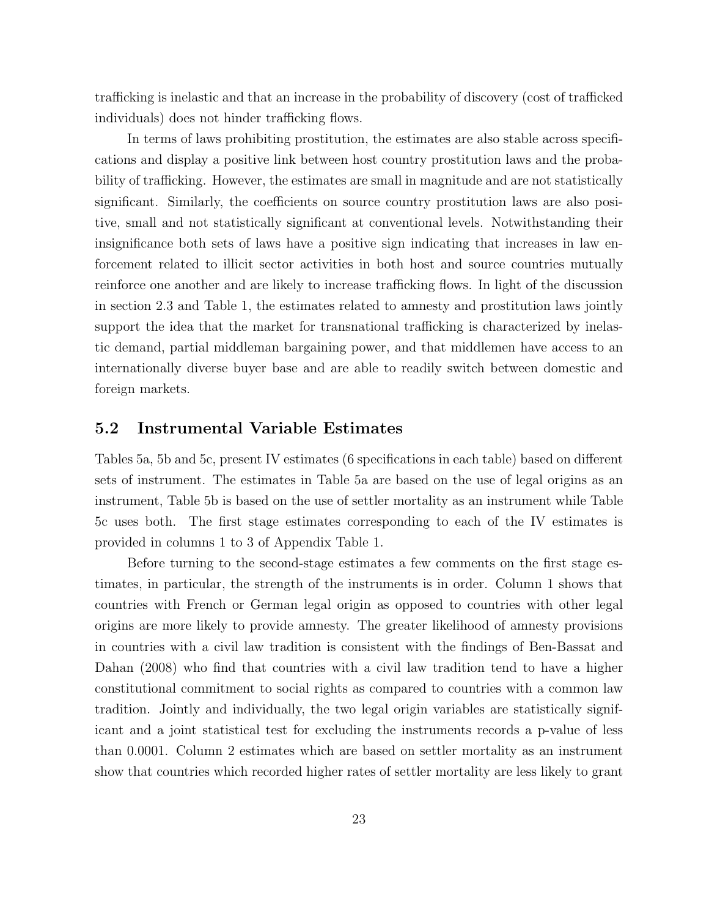trafficking is inelastic and that an increase in the probability of discovery (cost of trafficked individuals) does not hinder trafficking flows.

In terms of laws prohibiting prostitution, the estimates are also stable across specifications and display a positive link between host country prostitution laws and the probability of trafficking. However, the estimates are small in magnitude and are not statistically significant. Similarly, the coefficients on source country prostitution laws are also positive, small and not statistically significant at conventional levels. Notwithstanding their insignificance both sets of laws have a positive sign indicating that increases in law enforcement related to illicit sector activities in both host and source countries mutually reinforce one another and are likely to increase trafficking flows. In light of the discussion in section 2.3 and Table 1, the estimates related to amnesty and prostitution laws jointly support the idea that the market for transnational trafficking is characterized by inelastic demand, partial middleman bargaining power, and that middlemen have access to an internationally diverse buyer base and are able to readily switch between domestic and foreign markets.

## 5.2 Instrumental Variable Estimates

Tables 5a, 5b and 5c, present IV estimates (6 specifications in each table) based on different sets of instrument. The estimates in Table 5a are based on the use of legal origins as an instrument, Table 5b is based on the use of settler mortality as an instrument while Table 5c uses both. The first stage estimates corresponding to each of the IV estimates is provided in columns 1 to 3 of Appendix Table 1.

Before turning to the second-stage estimates a few comments on the first stage estimates, in particular, the strength of the instruments is in order. Column 1 shows that countries with French or German legal origin as opposed to countries with other legal origins are more likely to provide amnesty. The greater likelihood of amnesty provisions in countries with a civil law tradition is consistent with the findings of Ben-Bassat and Dahan (2008) who find that countries with a civil law tradition tend to have a higher constitutional commitment to social rights as compared to countries with a common law tradition. Jointly and individually, the two legal origin variables are statistically significant and a joint statistical test for excluding the instruments records a p-value of less than 0.0001. Column 2 estimates which are based on settler mortality as an instrument show that countries which recorded higher rates of settler mortality are less likely to grant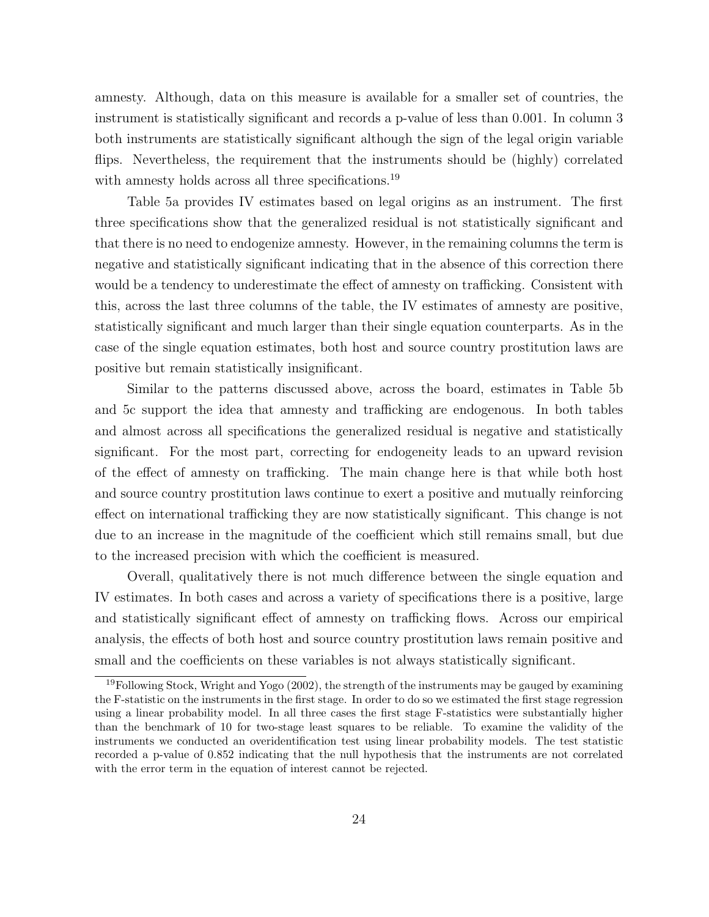amnesty. Although, data on this measure is available for a smaller set of countries, the instrument is statistically significant and records a p-value of less than 0.001. In column 3 both instruments are statistically significant although the sign of the legal origin variable flips. Nevertheless, the requirement that the instruments should be (highly) correlated with amnesty holds across all three specifications.<sup>19</sup>

Table 5a provides IV estimates based on legal origins as an instrument. The first three specifications show that the generalized residual is not statistically significant and that there is no need to endogenize amnesty. However, in the remaining columns the term is negative and statistically significant indicating that in the absence of this correction there would be a tendency to underestimate the effect of amnesty on trafficking. Consistent with this, across the last three columns of the table, the IV estimates of amnesty are positive, statistically significant and much larger than their single equation counterparts. As in the case of the single equation estimates, both host and source country prostitution laws are positive but remain statistically insignificant.

Similar to the patterns discussed above, across the board, estimates in Table 5b and 5c support the idea that amnesty and trafficking are endogenous. In both tables and almost across all specifications the generalized residual is negative and statistically significant. For the most part, correcting for endogeneity leads to an upward revision of the effect of amnesty on trafficking. The main change here is that while both host and source country prostitution laws continue to exert a positive and mutually reinforcing effect on international trafficking they are now statistically significant. This change is not due to an increase in the magnitude of the coefficient which still remains small, but due to the increased precision with which the coefficient is measured.

Overall, qualitatively there is not much difference between the single equation and IV estimates. In both cases and across a variety of specifications there is a positive, large and statistically significant effect of amnesty on trafficking flows. Across our empirical analysis, the effects of both host and source country prostitution laws remain positive and small and the coefficients on these variables is not always statistically significant.

 $19$ Following Stock, Wright and Yogo (2002), the strength of the instruments may be gauged by examining the F-statistic on the instruments in the first stage. In order to do so we estimated the first stage regression using a linear probability model. In all three cases the first stage F-statistics were substantially higher than the benchmark of 10 for two-stage least squares to be reliable. To examine the validity of the instruments we conducted an overidentification test using linear probability models. The test statistic recorded a p-value of 0.852 indicating that the null hypothesis that the instruments are not correlated with the error term in the equation of interest cannot be rejected.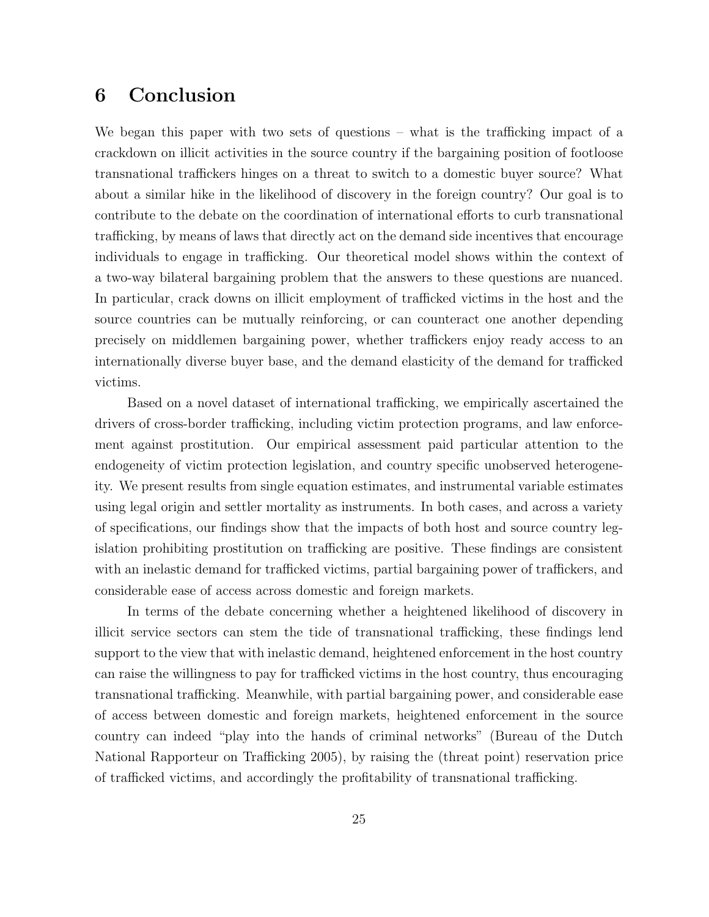## 6 Conclusion

We began this paper with two sets of questions – what is the trafficking impact of a crackdown on illicit activities in the source country if the bargaining position of footloose transnational traffickers hinges on a threat to switch to a domestic buyer source? What about a similar hike in the likelihood of discovery in the foreign country? Our goal is to contribute to the debate on the coordination of international efforts to curb transnational trafficking, by means of laws that directly act on the demand side incentives that encourage individuals to engage in trafficking. Our theoretical model shows within the context of a two-way bilateral bargaining problem that the answers to these questions are nuanced. In particular, crack downs on illicit employment of trafficked victims in the host and the source countries can be mutually reinforcing, or can counteract one another depending precisely on middlemen bargaining power, whether traffickers enjoy ready access to an internationally diverse buyer base, and the demand elasticity of the demand for trafficked victims.

Based on a novel dataset of international trafficking, we empirically ascertained the drivers of cross-border trafficking, including victim protection programs, and law enforcement against prostitution. Our empirical assessment paid particular attention to the endogeneity of victim protection legislation, and country specific unobserved heterogeneity. We present results from single equation estimates, and instrumental variable estimates using legal origin and settler mortality as instruments. In both cases, and across a variety of specifications, our findings show that the impacts of both host and source country legislation prohibiting prostitution on trafficking are positive. These findings are consistent with an inelastic demand for trafficked victims, partial bargaining power of traffickers, and considerable ease of access across domestic and foreign markets.

In terms of the debate concerning whether a heightened likelihood of discovery in illicit service sectors can stem the tide of transnational trafficking, these findings lend support to the view that with inelastic demand, heightened enforcement in the host country can raise the willingness to pay for trafficked victims in the host country, thus encouraging transnational trafficking. Meanwhile, with partial bargaining power, and considerable ease of access between domestic and foreign markets, heightened enforcement in the source country can indeed "play into the hands of criminal networks" (Bureau of the Dutch National Rapporteur on Trafficking 2005), by raising the (threat point) reservation price of trafficked victims, and accordingly the profitability of transnational trafficking.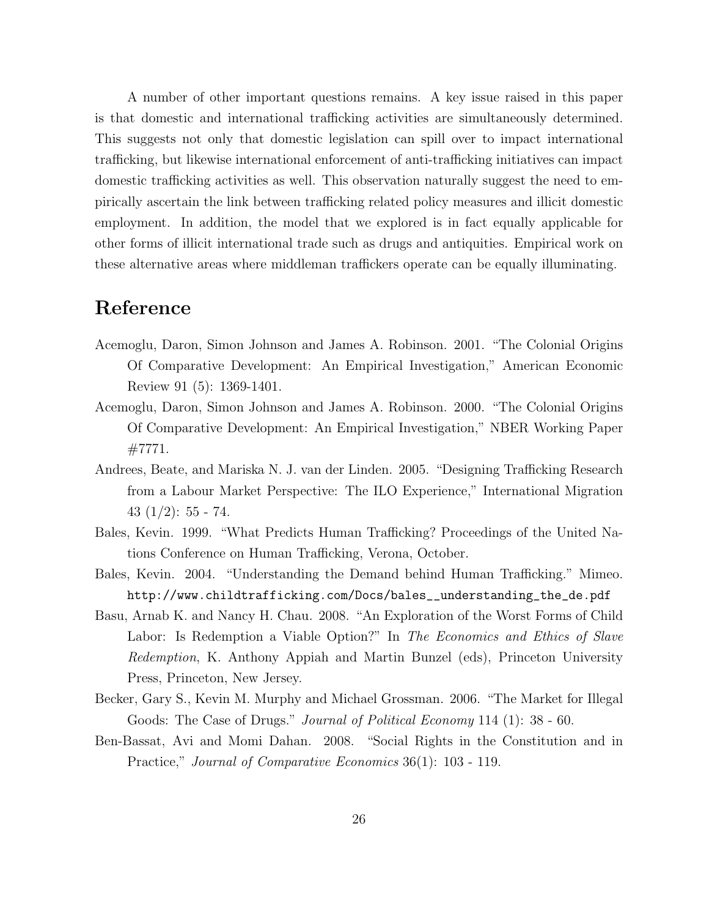A number of other important questions remains. A key issue raised in this paper is that domestic and international trafficking activities are simultaneously determined. This suggests not only that domestic legislation can spill over to impact international trafficking, but likewise international enforcement of anti-trafficking initiatives can impact domestic trafficking activities as well. This observation naturally suggest the need to empirically ascertain the link between trafficking related policy measures and illicit domestic employment. In addition, the model that we explored is in fact equally applicable for other forms of illicit international trade such as drugs and antiquities. Empirical work on these alternative areas where middleman traffickers operate can be equally illuminating.

## Reference

- Acemoglu, Daron, Simon Johnson and James A. Robinson. 2001. "The Colonial Origins Of Comparative Development: An Empirical Investigation," American Economic Review 91 (5): 1369-1401.
- Acemoglu, Daron, Simon Johnson and James A. Robinson. 2000. "The Colonial Origins Of Comparative Development: An Empirical Investigation," NBER Working Paper #7771.
- Andrees, Beate, and Mariska N. J. van der Linden. 2005. "Designing Trafficking Research from a Labour Market Perspective: The ILO Experience," International Migration 43  $(1/2)$ : 55 - 74.
- Bales, Kevin. 1999. "What Predicts Human Trafficking? Proceedings of the United Nations Conference on Human Trafficking, Verona, October.
- Bales, Kevin. 2004. "Understanding the Demand behind Human Trafficking." Mimeo. http://www.childtrafficking.com/Docs/bales\_\_understanding\_the\_de.pdf
- Basu, Arnab K. and Nancy H. Chau. 2008. "An Exploration of the Worst Forms of Child Labor: Is Redemption a Viable Option?" In The Economics and Ethics of Slave Redemption, K. Anthony Appiah and Martin Bunzel (eds), Princeton University Press, Princeton, New Jersey.
- Becker, Gary S., Kevin M. Murphy and Michael Grossman. 2006. "The Market for Illegal Goods: The Case of Drugs." Journal of Political Economy 114 (1): 38 - 60.
- Ben-Bassat, Avi and Momi Dahan. 2008. "Social Rights in the Constitution and in Practice," Journal of Comparative Economics 36(1): 103 - 119.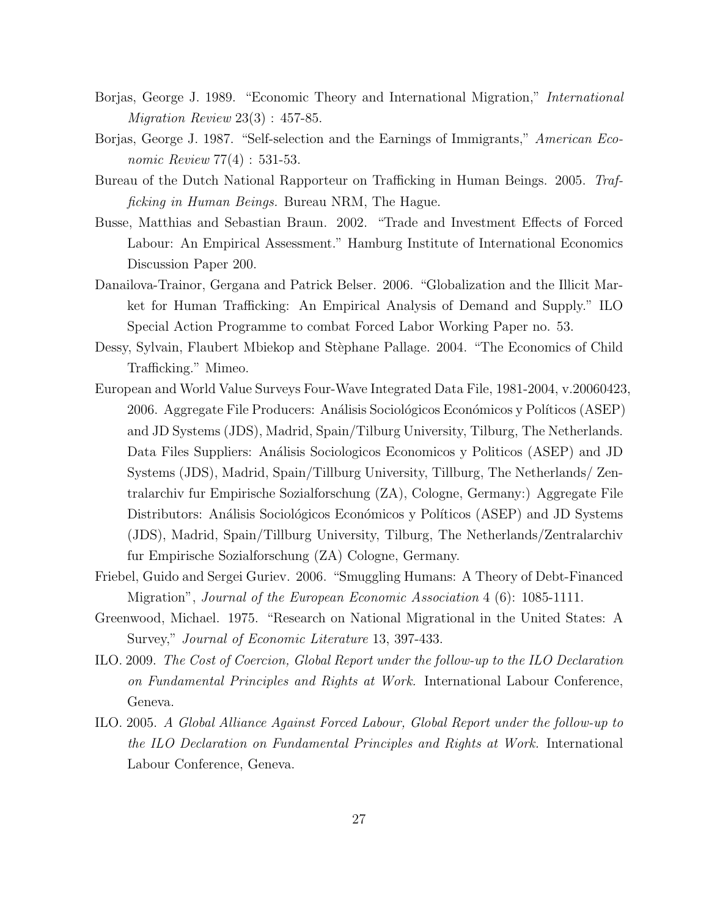- Borjas, George J. 1989. "Economic Theory and International Migration," International  $Migration$   $Review$   $23(3):$   $457-85$ .
- Borjas, George J. 1987. "Self-selection and the Earnings of Immigrants," American Economic Review 77(4) : 531-53.
- Bureau of the Dutch National Rapporteur on Trafficking in Human Beings. 2005. Trafficking in Human Beings. Bureau NRM, The Hague.
- Busse, Matthias and Sebastian Braun. 2002. "Trade and Investment Effects of Forced Labour: An Empirical Assessment." Hamburg Institute of International Economics Discussion Paper 200.
- Danailova-Trainor, Gergana and Patrick Belser. 2006. "Globalization and the Illicit Market for Human Trafficking: An Empirical Analysis of Demand and Supply." ILO Special Action Programme to combat Forced Labor Working Paper no. 53.
- Dessy, Sylvain, Flaubert Mbiekop and Stèphane Pallage. 2004. "The Economics of Child Trafficking." Mimeo.
- European and World Value Surveys Four-Wave Integrated Data File, 1981-2004, v.20060423, 2006. Aggregate File Producers: Análisis Sociológicos Económicos y Políticos (ASEP) and JD Systems (JDS), Madrid, Spain/Tilburg University, Tilburg, The Netherlands. Data Files Suppliers: Análisis Sociologicos Economicos y Politicos (ASEP) and JD Systems (JDS), Madrid, Spain/Tillburg University, Tillburg, The Netherlands/ Zentralarchiv fur Empirische Sozialforschung (ZA), Cologne, Germany:) Aggregate File Distributors: Análisis Sociológicos Económicos y Políticos (ASEP) and JD Systems (JDS), Madrid, Spain/Tillburg University, Tilburg, The Netherlands/Zentralarchiv fur Empirische Sozialforschung (ZA) Cologne, Germany.
- Friebel, Guido and Sergei Guriev. 2006. "Smuggling Humans: A Theory of Debt-Financed Migration", Journal of the European Economic Association 4 (6): 1085-1111.
- Greenwood, Michael. 1975. "Research on National Migrational in the United States: A Survey," Journal of Economic Literature 13, 397-433.
- ILO. 2009. The Cost of Coercion, Global Report under the follow-up to the ILO Declaration on Fundamental Principles and Rights at Work. International Labour Conference, Geneva.
- ILO. 2005. A Global Alliance Against Forced Labour, Global Report under the follow-up to the ILO Declaration on Fundamental Principles and Rights at Work. International Labour Conference, Geneva.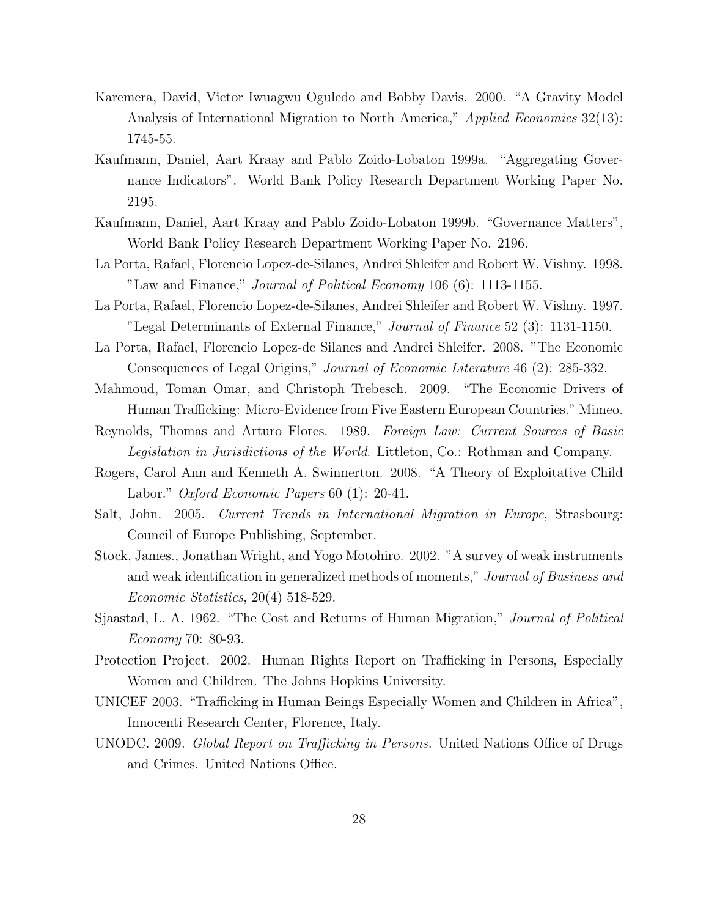- Karemera, David, Victor Iwuagwu Oguledo and Bobby Davis. 2000. "A Gravity Model Analysis of International Migration to North America," Applied Economics 32(13): 1745-55.
- Kaufmann, Daniel, Aart Kraay and Pablo Zoido-Lobaton 1999a. "Aggregating Governance Indicators". World Bank Policy Research Department Working Paper No. 2195.
- Kaufmann, Daniel, Aart Kraay and Pablo Zoido-Lobaton 1999b. "Governance Matters", World Bank Policy Research Department Working Paper No. 2196.
- La Porta, Rafael, Florencio Lopez-de-Silanes, Andrei Shleifer and Robert W. Vishny. 1998. "Law and Finance," *Journal of Political Economy* 106 (6): 1113-1155.
- La Porta, Rafael, Florencio Lopez-de-Silanes, Andrei Shleifer and Robert W. Vishny. 1997. "Legal Determinants of External Finance," Journal of Finance 52 (3): 1131-1150.
- La Porta, Rafael, Florencio Lopez-de Silanes and Andrei Shleifer. 2008. "The Economic Consequences of Legal Origins," Journal of Economic Literature 46 (2): 285-332.
- Mahmoud, Toman Omar, and Christoph Trebesch. 2009. "The Economic Drivers of Human Trafficking: Micro-Evidence from Five Eastern European Countries." Mimeo.
- Reynolds, Thomas and Arturo Flores. 1989. Foreign Law: Current Sources of Basic Legislation in Jurisdictions of the World. Littleton, Co.: Rothman and Company.
- Rogers, Carol Ann and Kenneth A. Swinnerton. 2008. "A Theory of Exploitative Child Labor." Oxford Economic Papers 60 (1): 20-41.
- Salt, John. 2005. Current Trends in International Migration in Europe, Strasbourg: Council of Europe Publishing, September.
- Stock, James., Jonathan Wright, and Yogo Motohiro. 2002. "A survey of weak instruments and weak identification in generalized methods of moments," *Journal of Business and* Economic Statistics, 20(4) 518-529.
- Sjaastad, L. A. 1962. "The Cost and Returns of Human Migration," Journal of Political Economy 70: 80-93.
- Protection Project. 2002. Human Rights Report on Trafficking in Persons, Especially Women and Children. The Johns Hopkins University.
- UNICEF 2003. "Trafficking in Human Beings Especially Women and Children in Africa", Innocenti Research Center, Florence, Italy.
- UNODC. 2009. Global Report on Trafficking in Persons. United Nations Office of Drugs and Crimes. United Nations Office.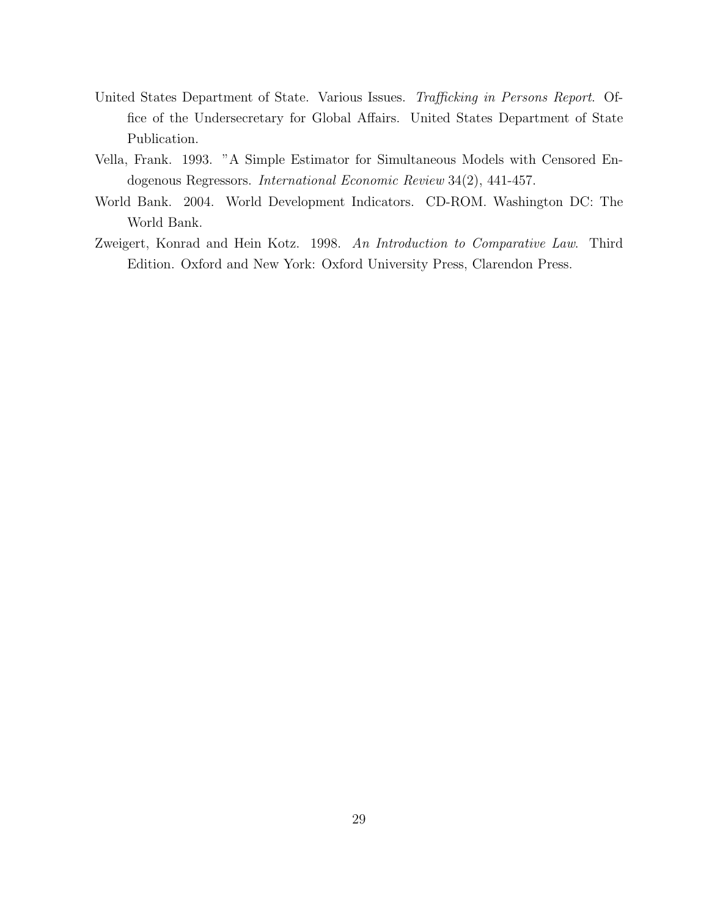- United States Department of State. Various Issues. Trafficking in Persons Report. Office of the Undersecretary for Global Affairs. United States Department of State Publication.
- Vella, Frank. 1993. "A Simple Estimator for Simultaneous Models with Censored Endogenous Regressors. International Economic Review 34(2), 441-457.
- World Bank. 2004. World Development Indicators. CD-ROM. Washington DC: The World Bank.
- Zweigert, Konrad and Hein Kotz. 1998. An Introduction to Comparative Law. Third Edition. Oxford and New York: Oxford University Press, Clarendon Press.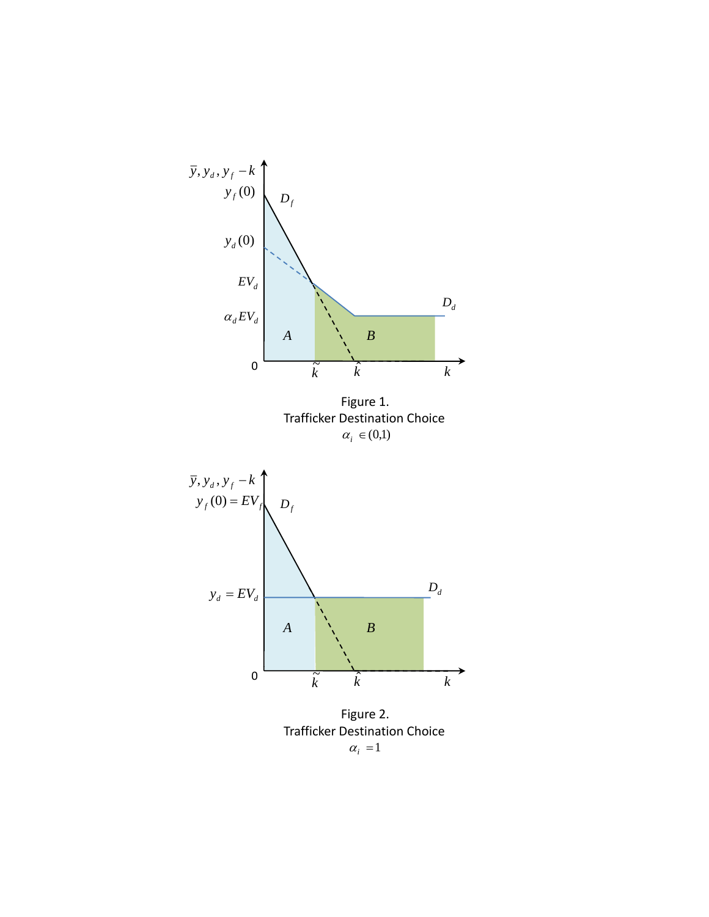

Figure 2. Trafficker Destination Choice  $\alpha_i = 1$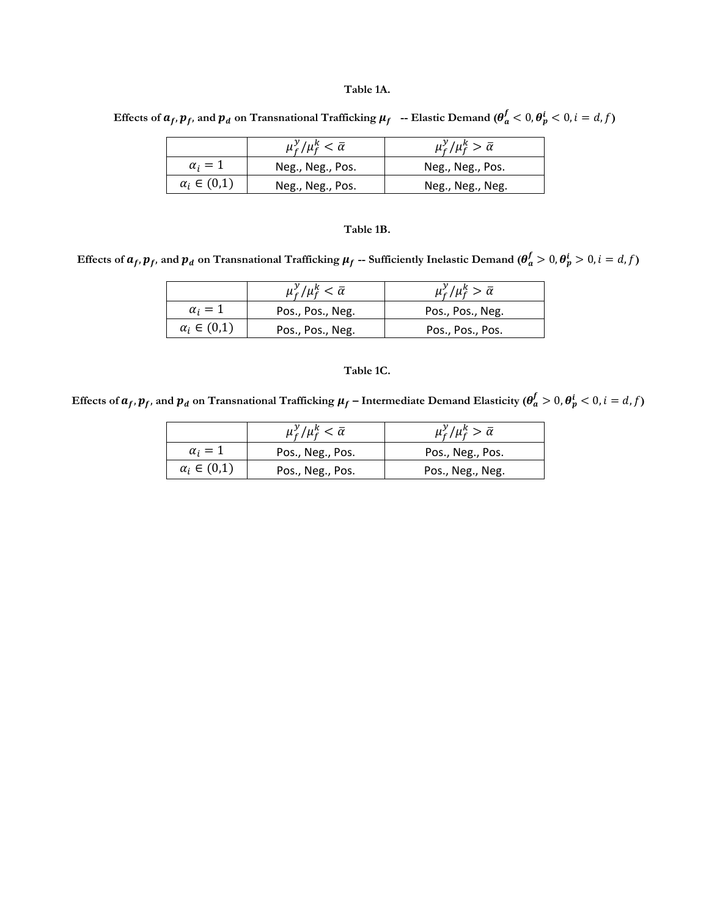#### **Table 1A.**

Effects of  $a_f$ ,  $p_f$ , and  $p_d$  on Transnational Trafficking  $\mu_f$  -- Elastic Demand ( $\theta_a^f < 0$ ,  $\theta_p^i < 0$ ,  $i = d, f$ )

|                      | $\mu_f^{\cal Y}/\mu_f^{\cal k} < \bar{\alpha}$ | $\mu_f^y/\mu_f^k > \bar{\alpha}$ |
|----------------------|------------------------------------------------|----------------------------------|
| $\alpha_i=1$         | Neg., Neg., Pos.                               | Neg., Neg., Pos.                 |
| $\alpha_i \in (0,1)$ | Neg., Neg., Pos.                               | Neg., Neg., Neg.                 |

#### **Table 1B.**

Effects of  $a_f$ ,  $p_f$ , and  $p_d$  on Transnational Trafficking  $\mu_f$  -- Sufficiently Inelastic Demand ( $\theta_a^f > 0$ ,  $\theta_p^i > 0$ ,  $i = d, f$ )

|                      | $\mu_f^{\cal Y}/\mu_f^k < \bar{\alpha}$ | $\mu_f^y/\mu_f^k > \bar{\alpha}$ |
|----------------------|-----------------------------------------|----------------------------------|
| $\alpha_i=1$         | Pos., Pos., Neg.                        | Pos., Pos., Neg.                 |
| $\alpha_i \in (0,1)$ | Pos., Pos., Neg.                        | Pos., Pos., Pos.                 |

#### **Table 1C.**

Effects of  $a_f$ ,  $p_f$ , and  $p_d$  on Transnational Trafficking  $\mu_f$  – Intermediate Demand Elasticity ( $\theta_a^f > 0$ ,  $\theta_p^i < 0$ ,  $i = d, f$ )

|                      | $\mu_f^{\mathcal{Y}}/\mu_f^k < \bar{\alpha}$ | $\mu_f^{\gamma}/\mu_f^k > \bar{\alpha}$ |
|----------------------|----------------------------------------------|-----------------------------------------|
| $\alpha_i=1$         | Pos., Neg., Pos.                             | Pos., Neg., Pos.                        |
| $\alpha_i \in (0,1)$ | Pos., Neg., Pos.                             | Pos., Neg., Neg.                        |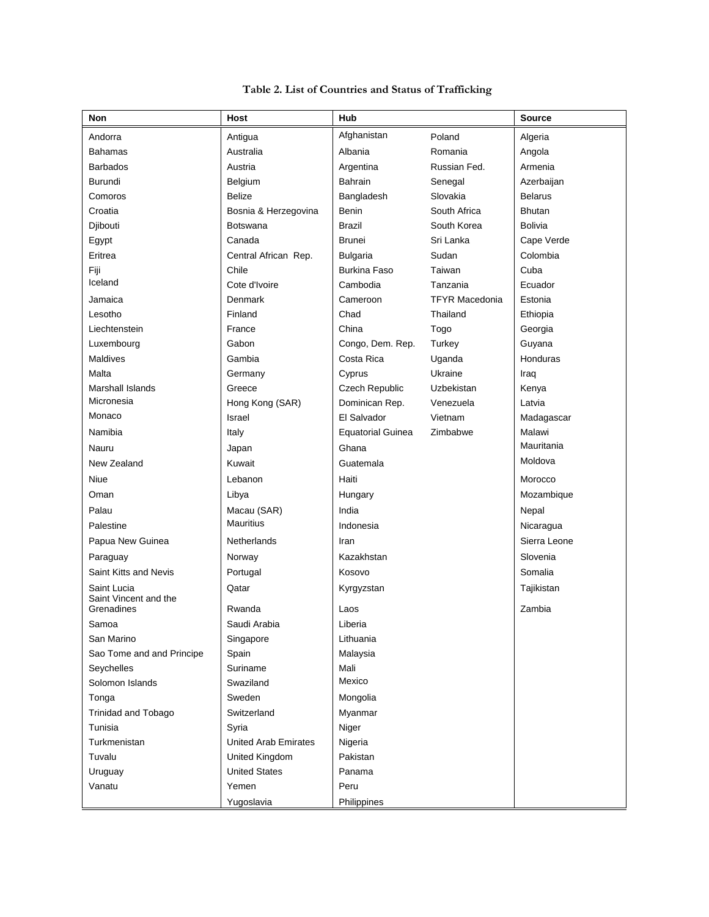| Non                                  | Host                        | Hub                      |                       | <b>Source</b>  |
|--------------------------------------|-----------------------------|--------------------------|-----------------------|----------------|
| Andorra                              | Antigua                     | Afghanistan              | Poland                | Algeria        |
| <b>Bahamas</b>                       | Australia                   | Albania                  | Romania               | Angola         |
| <b>Barbados</b>                      | Austria                     | Argentina                | Russian Fed.          | Armenia        |
| Burundi                              | Belgium                     | Bahrain                  | Senegal               | Azerbaijan     |
| Comoros                              | <b>Belize</b>               | Bangladesh               | Slovakia              | <b>Belarus</b> |
| Croatia                              | Bosnia & Herzegovina        | Benin                    | South Africa          | <b>Bhutan</b>  |
| Djibouti                             | Botswana                    | <b>Brazil</b>            | South Korea           | <b>Bolivia</b> |
| Egypt                                | Canada                      | <b>Brunei</b>            | Sri Lanka             | Cape Verde     |
| Eritrea                              | Central African Rep.        | <b>Bulgaria</b>          | Sudan                 | Colombia       |
| Fiji                                 | Chile                       | <b>Burkina Faso</b>      | Taiwan                | Cuba           |
| Iceland                              | Cote d'Ivoire               | Cambodia                 | Tanzania              | Ecuador        |
| Jamaica                              | Denmark                     | Cameroon                 | <b>TFYR Macedonia</b> | Estonia        |
| Lesotho                              | Finland                     | Chad                     | Thailand              | Ethiopia       |
| Liechtenstein                        | France                      | China                    | Togo                  | Georgia        |
| Luxembourg                           | Gabon                       | Congo, Dem. Rep.         | Turkey                | Guyana         |
| <b>Maldives</b>                      | Gambia                      | Costa Rica               | Uganda                | Honduras       |
| Malta                                | Germany                     | Cyprus                   | Ukraine               | Iraq           |
| Marshall Islands                     | Greece                      | Czech Republic           | Uzbekistan            | Kenya          |
| Micronesia                           | Hong Kong (SAR)             | Dominican Rep.           | Venezuela             | Latvia         |
| Monaco                               | Israel                      | El Salvador              | Vietnam               | Madagascar     |
| Namibia                              | Italy                       | <b>Equatorial Guinea</b> | Zimbabwe              | Malawi         |
| Nauru                                | Japan                       | Ghana                    |                       | Mauritania     |
| New Zealand                          | Kuwait                      | Guatemala                |                       | Moldova        |
| Niue                                 | Lebanon                     | Haiti                    |                       | Morocco        |
| Oman                                 | Libya                       | Hungary                  |                       | Mozambique     |
| Palau                                | Macau (SAR)                 | India                    |                       | Nepal          |
| Palestine                            | <b>Mauritius</b>            | Indonesia                |                       | Nicaragua      |
| Papua New Guinea                     | Netherlands                 | Iran                     |                       | Sierra Leone   |
| Paraguay                             | Norway                      | Kazakhstan               |                       | Slovenia       |
| Saint Kitts and Nevis                | Portugal                    | Kosovo                   |                       | Somalia        |
| Saint Lucia<br>Saint Vincent and the | Qatar                       | Kyrgyzstan               |                       | Tajikistan     |
| Grenadines                           | Rwanda                      | Laos                     |                       | Zambia         |
| Samoa                                | Saudi Arabia                | Liberia                  |                       |                |
| San Marino                           | Singapore                   | Lithuania                |                       |                |
| Sao Tome and and Principe            | Spain                       | Malaysia                 |                       |                |
| Seychelles                           | Suriname                    | Mali                     |                       |                |
| Solomon Islands                      | Swaziland                   | Mexico                   |                       |                |
| Tonga                                | Sweden                      | Mongolia                 |                       |                |
| <b>Trinidad and Tobago</b>           | Switzerland                 | Myanmar                  |                       |                |
| Tunisia                              | Syria                       | Niger                    |                       |                |
| Turkmenistan                         | <b>United Arab Emirates</b> | Nigeria                  |                       |                |
| Tuvalu                               | United Kingdom              | Pakistan                 |                       |                |
| Uruguay                              | <b>United States</b>        | Panama                   |                       |                |
| Vanatu                               | Yemen                       | Peru                     |                       |                |
|                                      | Yugoslavia                  | Philippines              |                       |                |

### **Table 2. List of Countries and Status of Trafficking**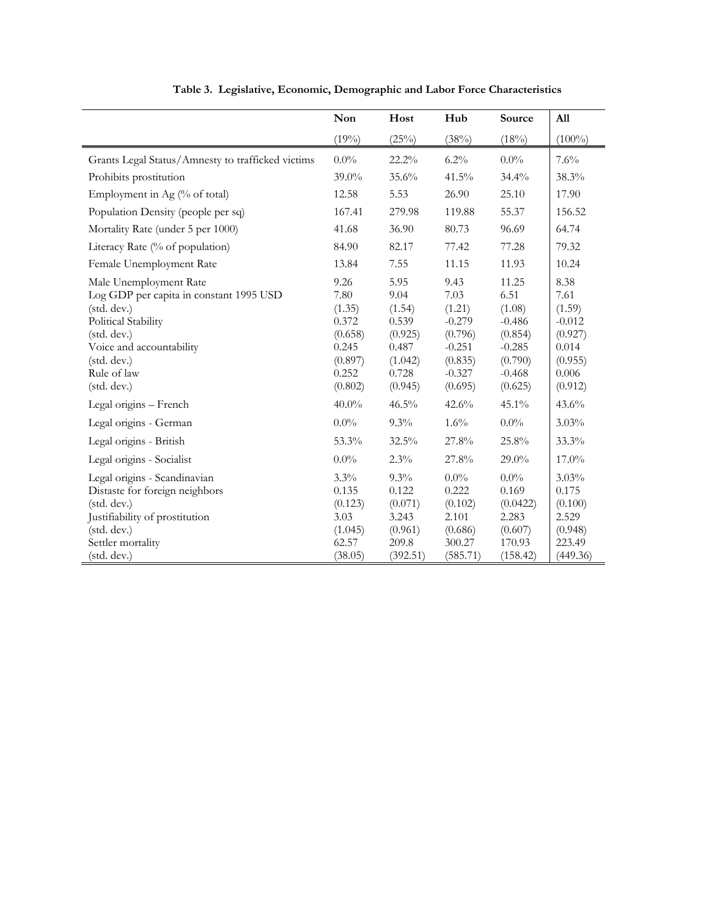|                                                                                                                                                                                                                            | Non                                                                                            | Host                                                                                           | Hub                                                                                                  | Source                                                                                                | All                                                                                            |
|----------------------------------------------------------------------------------------------------------------------------------------------------------------------------------------------------------------------------|------------------------------------------------------------------------------------------------|------------------------------------------------------------------------------------------------|------------------------------------------------------------------------------------------------------|-------------------------------------------------------------------------------------------------------|------------------------------------------------------------------------------------------------|
|                                                                                                                                                                                                                            | (19%)                                                                                          | (25%)                                                                                          | (38%)                                                                                                | (18%)                                                                                                 | $(100\%)$                                                                                      |
| Grants Legal Status/Amnesty to trafficked victims                                                                                                                                                                          | $0.0\%$                                                                                        | 22.2%                                                                                          | $6.2\%$                                                                                              | $0.0\%$                                                                                               | 7.6%                                                                                           |
| Prohibits prostitution                                                                                                                                                                                                     | 39.0%                                                                                          | 35.6%                                                                                          | 41.5%                                                                                                | 34.4%                                                                                                 | 38.3%                                                                                          |
| Employment in Ag (% of total)                                                                                                                                                                                              | 12.58                                                                                          | 5.53                                                                                           | 26.90                                                                                                | 25.10                                                                                                 | 17.90                                                                                          |
| Population Density (people per sq)                                                                                                                                                                                         | 167.41                                                                                         | 279.98                                                                                         | 119.88                                                                                               | 55.37                                                                                                 | 156.52                                                                                         |
| Mortality Rate (under 5 per 1000)                                                                                                                                                                                          | 41.68                                                                                          | 36.90                                                                                          | 80.73                                                                                                | 96.69                                                                                                 | 64.74                                                                                          |
| Literacy Rate (% of population)                                                                                                                                                                                            | 84.90                                                                                          | 82.17                                                                                          | 77.42                                                                                                | 77.28                                                                                                 | 79.32                                                                                          |
| Female Unemployment Rate                                                                                                                                                                                                   | 13.84                                                                                          | 7.55                                                                                           | 11.15                                                                                                | 11.93                                                                                                 | 10.24                                                                                          |
| Male Unemployment Rate<br>Log GDP per capita in constant 1995 USD<br>(std. dev.)<br>Political Stability<br>(std. dev.)<br>Voice and accountability<br>(stat. dev.)<br>Rule of law<br>(std. dev.)<br>Legal origins - French | 9.26<br>7.80<br>(1.35)<br>0.372<br>(0.658)<br>0.245<br>(0.897)<br>0.252<br>(0.802)<br>$40.0\%$ | 5.95<br>9.04<br>(1.54)<br>0.539<br>(0.925)<br>0.487<br>(1.042)<br>0.728<br>(0.945)<br>$46.5\%$ | 9.43<br>7.03<br>(1.21)<br>$-0.279$<br>(0.796)<br>$-0.251$<br>(0.835)<br>$-0.327$<br>(0.695)<br>42.6% | 11.25<br>6.51<br>(1.08)<br>$-0.486$<br>(0.854)<br>$-0.285$<br>(0.790)<br>$-0.468$<br>(0.625)<br>45.1% | 8.38<br>7.61<br>(1.59)<br>$-0.012$<br>(0.927)<br>0.014<br>(0.955)<br>0.006<br>(0.912)<br>43.6% |
| Legal origins - German                                                                                                                                                                                                     | $0.0\%$                                                                                        | $9.3\%$                                                                                        | $1.6\%$                                                                                              | $0.0\%$                                                                                               | 3.03%                                                                                          |
| Legal origins - British                                                                                                                                                                                                    | 53.3%                                                                                          | 32.5%                                                                                          | 27.8%                                                                                                | 25.8%                                                                                                 | 33.3%                                                                                          |
| Legal origins - Socialist                                                                                                                                                                                                  | $0.0\%$                                                                                        | 2.3%                                                                                           | 27.8%                                                                                                | 29.0%                                                                                                 | 17.0%                                                                                          |
| Legal origins - Scandinavian<br>Distaste for foreign neighbors<br>(std. dev.)<br>Justifiability of prostitution<br>(std. dev.)<br>Settler mortality<br>(std. dev.)                                                         | 3.3%<br>0.135<br>(0.123)<br>3.03<br>(1.045)<br>62.57<br>(38.05)                                | 9.3%<br>0.122<br>(0.071)<br>3.243<br>(0.961)<br>209.8<br>(392.51)                              | $0.0\%$<br>0.222<br>(0.102)<br>2.101<br>(0.686)<br>300.27<br>(585.71)                                | $0.0\%$<br>0.169<br>(0.0422)<br>2.283<br>(0.607)<br>170.93<br>(158.42)                                | 3.03%<br>0.175<br>(0.100)<br>2.529<br>(0.948)<br>223.49<br>(449.36)                            |

**Table 3. Legislative, Economic, Demographic and Labor Force Characteristics**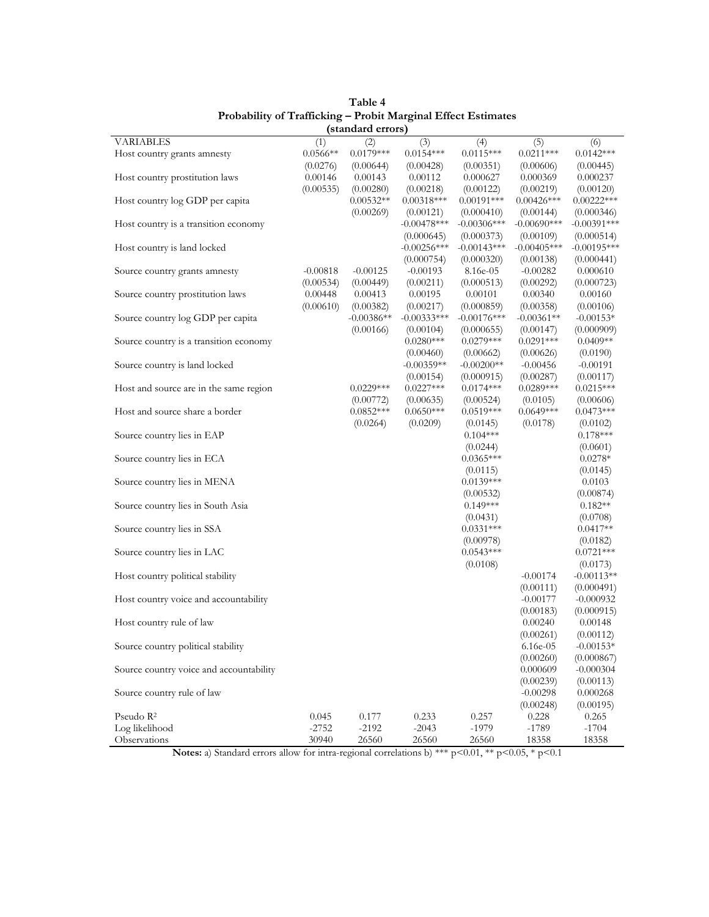| (standard errors)                       |                  |              |                          |                           |                          |                           |
|-----------------------------------------|------------------|--------------|--------------------------|---------------------------|--------------------------|---------------------------|
| <b>VARIABLES</b>                        | (1)              | (2)          | (3)                      | (4)                       | (5)                      | (6)                       |
| Host country grants amnesty             | $0.0566**$       | $0.0179***$  | $0.0154***$              | $0.0115***$               | $0.0211***$              | $0.0142***$               |
|                                         | (0.0276)         | (0.00644)    | (0.00428)                | (0.00351)                 | (0.00606)                | (0.00445)                 |
| Host country prostitution laws          | 0.00146          | 0.00143      | 0.00112                  | 0.000627                  | 0.000369                 | 0.000237                  |
|                                         | (0.00535)        | (0.00280)    | (0.00218)                | (0.00122)                 | (0.00219)                | (0.00120)                 |
| Host country log GDP per capita         |                  | $0.00532**$  | $0.00318***$             | $0.00191***$              | $0.00426***$             | $0.00222***$              |
|                                         |                  | (0.00269)    | (0.00121)                | (0.000410)                | (0.00144)                | (0.000346)                |
| Host country is a transition economy    |                  |              | $-0.00478***$            | $-0.00306$ ***            | $-0.00690***$            | $-0.00391***$             |
|                                         |                  |              | (0.000645)               | (0.000373)                | (0.00109)                | (0.000514)                |
| Host country is land locked             |                  |              | $-0.00256***$            | $-0.00143***$             | $-0.00405***$            | $-0.00195***$             |
|                                         |                  |              | (0.000754)               | (0.000320)                | (0.00138)                | (0.000441)                |
| Source country grants amnesty           | $-0.00818$       | $-0.00125$   | $-0.00193$               | 8.16e-05                  | $-0.00282$               | 0.000610                  |
|                                         | (0.00534)        | (0.00449)    | (0.00211)                | (0.000513)                | (0.00292)                | (0.000723)                |
| Source country prostitution laws        | 0.00448          | 0.00413      | 0.00195                  | 0.00101                   | 0.00340                  | 0.00160                   |
|                                         | (0.00610)        | (0.00382)    | (0.00217)                | (0.000859)                | (0.00358)                | (0.00106)                 |
| Source country log GDP per capita       |                  | $-0.00386**$ | $-0.00333***$            | $-0.00176$ ***            | $-0.00361**$             | $-0.00153*$               |
|                                         |                  | (0.00166)    | (0.00104)                | (0.000655)                | (0.00147)                | (0.000909)                |
| Source country is a transition economy  |                  |              | $0.0280***$              | $0.0279***$               | $0.0291***$              | $0.0409**$                |
|                                         |                  |              | (0.00460)                | (0.00662)                 | (0.00626)                | (0.0190)                  |
| Source country is land locked           |                  |              | $-0.00359**$             | $-0.00200**$              | $-0.00456$               | $-0.00191$                |
|                                         |                  |              |                          |                           | (0.00287)                | (0.00117)                 |
|                                         |                  | $0.0229***$  | (0.00154)<br>$0.0227***$ | (0.000915)<br>$0.0174***$ | $0.0289***$              | $0.0215***$               |
| Host and source are in the same region  |                  | (0.00772)    | (0.00635)                | (0.00524)                 | (0.0105)                 | (0.00606)                 |
| Host and source share a border          |                  | $0.0852***$  | $0.0650***$              | $0.0519***$               | $0.0649***$              | $0.0473***$               |
|                                         |                  | (0.0264)     |                          |                           |                          |                           |
|                                         |                  |              | (0.0209)                 | (0.0145)<br>$0.104***$    | (0.0178)                 | (0.0102)<br>$0.178***$    |
| Source country lies in EAP              |                  |              |                          |                           |                          |                           |
|                                         |                  |              |                          | (0.0244)<br>$0.0365***$   |                          | (0.0601)                  |
| Source country lies in ECA              |                  |              |                          |                           |                          | $0.0278*$                 |
| Source country lies in MENA             |                  |              |                          | (0.0115)<br>$0.0139***$   |                          | (0.0145)<br>0.0103        |
|                                         |                  |              |                          |                           |                          |                           |
| Source country lies in South Asia       |                  |              |                          | (0.00532)<br>$0.149***$   |                          | (0.00874)<br>$0.182**$    |
|                                         |                  |              |                          |                           |                          | (0.0708)                  |
|                                         |                  |              |                          | (0.0431)<br>$0.0331***$   |                          | $0.0417**$                |
| Source country lies in SSA              |                  |              |                          |                           |                          |                           |
|                                         |                  |              |                          | (0.00978)                 |                          | (0.0182)                  |
| Source country lies in LAC              |                  |              |                          | $0.0543***$               |                          | $0.0721***$               |
|                                         |                  |              |                          | (0.0108)                  | $-0.00174$               | (0.0173)<br>$-0.00113**$  |
| Host country political stability        |                  |              |                          |                           |                          |                           |
|                                         |                  |              |                          |                           | (0.00111)<br>$-0.00177$  | (0.000491)                |
| Host country voice and accountability   |                  |              |                          |                           |                          | $-0.000932$<br>(0.000915) |
| Host country rule of law                |                  |              |                          |                           | (0.00183)                |                           |
|                                         |                  |              |                          |                           | 0.00240                  | 0.00148                   |
|                                         |                  |              |                          |                           | (0.00261)                | (0.00112)                 |
| Source country political stability      |                  |              |                          |                           | $6.16e-0.5$<br>(0.00260) | $-0.00153*$<br>(0.000867) |
|                                         |                  |              |                          |                           |                          | $-0.000304$               |
| Source country voice and accountability |                  |              |                          |                           | 0.000609<br>(0.00239)    |                           |
|                                         |                  |              |                          |                           |                          | (0.00113)                 |
| Source country rule of law              |                  |              |                          |                           | $-0.00298$               | 0.000268                  |
| Pseudo $R^2$                            |                  | 0.177        | 0.233                    | 0.257                     | (0.00248)                | (0.00195)                 |
|                                         | 0.045<br>$-2752$ | $-2192$      | $-2043$                  | $-1979$                   | 0.228<br>$-1789$         | 0.265<br>$-1704$          |
| Log likelihood                          |                  |              |                          |                           |                          |                           |
| Observations                            | 30940            | 26560        | 26560                    | 26560                     | 18358                    | 18358                     |

## **Table 4 Probability of Trafficking – Probit Marginal Effect Estimates**

**Notes:** a) Standard errors allow for intra-regional correlations b) \*\*\* p<0.01, \*\* p<0.05, \* p<0.1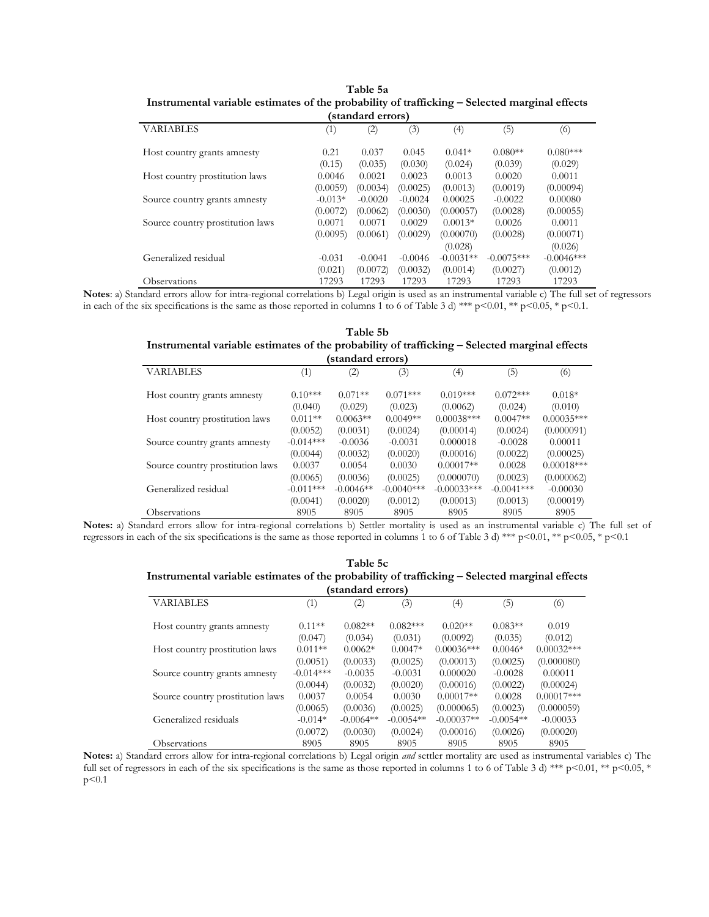| standard effors)                 |           |           |           |             |              |               |  |
|----------------------------------|-----------|-----------|-----------|-------------|--------------|---------------|--|
| <b>VARIABLES</b>                 | (1)       | (2)       | (3)       | (4)         | (5)          | (6)           |  |
| Host country grants amnesty      | 0.21      | 0.037     | 0.045     | $0.041*$    | $0.080**$    | $0.080***$    |  |
|                                  | (0.15)    | (0.035)   | (0.030)   | (0.024)     | (0.039)      | (0.029)       |  |
| Host country prostitution laws   | 0.0046    | 0.0021    | 0.0023    | 0.0013      | 0.0020       | 0.0011        |  |
|                                  | (0.0059)  | (0.0034)  | (0.0025)  | (0.0013)    | (0.0019)     | (0.00094)     |  |
| Source country grants amnesty    | $-0.013*$ | $-0.0020$ | $-0.0024$ | 0.00025     | $-0.0022$    | 0.00080       |  |
|                                  | (0.0072)  | (0.0062)  | (0.0030)  | (0.00057)   | (0.0028)     | (0.00055)     |  |
| Source country prostitution laws | 0.0071    | 0.0071    | 0.0029    | $0.0013*$   | 0.0026       | 0.0011        |  |
|                                  | (0.0095)  | (0.0061)  | (0.0029)  | (0.00070)   | (0.0028)     | (0.00071)     |  |
|                                  |           |           |           | (0.028)     |              | (0.026)       |  |
| Generalized residual             | $-0.031$  | $-0.0041$ | $-0.0046$ | $-0.0031**$ | $-0.0075***$ | $-0.0046$ *** |  |
|                                  | (0.021)   | (0.0072)  | (0.0032)  | (0.0014)    | (0.0027)     | (0.0012)      |  |
| Observations                     | 17293     | 17293     | 17293     | 17293       | 17293        | 17293         |  |

| Table 5a                                                                                      |
|-----------------------------------------------------------------------------------------------|
| Instrumental variable estimates of the probability of trafficking - Selected marginal effects |
| (standard curve)                                                                              |

**Notes**: a) Standard errors allow for intra-regional correlations b) Legal origin is used as an instrumental variable c) The full set of regressors in each of the six specifications is the same as those reported in columns 1 to 6 of Table 3 d) \*\*\* p<0.01, \*\* p<0.05, \* p<0.1.

#### **Table 5b Instrumental variable estimates of the probability of trafficking – Selected marginal effects (standard errors)**

| <b>Standard Citols</b>           |                   |                   |              |               |              |              |  |
|----------------------------------|-------------------|-------------------|--------------|---------------|--------------|--------------|--|
| <b>VARIABLES</b>                 | $\left( 1\right)$ | $\left( 2\right)$ | (3)          | (4)           | (5)          | (6)          |  |
| Host country grants amnesty      | $0.10***$         | $0.071**$         | $0.071***$   | $0.019***$    | $0.072***$   | $0.018*$     |  |
|                                  | (0.040)           | (0.029)           | (0.023)      | (0.0062)      | (0.024)      | (0.010)      |  |
| Host country prostitution laws   | $0.011**$         | $0.0063**$        | $0.0049**$   | $0.00038***$  | $0.0047**$   | $0.00035***$ |  |
|                                  | (0.0052)          | (0.0031)          | (0.0024)     | (0.00014)     | (0.0024)     | (0.000091)   |  |
| Source country grants amnesty    | $-0.014***$       | $-0.0036$         | $-0.0031$    | 0.000018      | $-0.0028$    | 0.00011      |  |
|                                  | (0.0044)          | (0.0032)          | (0.0020)     | (0.00016)     | (0.0022)     | (0.00025)    |  |
| Source country prostitution laws | 0.0037            | 0.0054            | 0.0030       | $0.00017**$   | 0.0028       | $0.00018***$ |  |
|                                  | (0.0065)          | (0.0036)          | (0.0025)     | (0.000070)    | (0.0023)     | (0.000062)   |  |
| Generalized residual             | $-0.011***$       | $-0.0046**$       | $-0.0040***$ | $-0.00033***$ | $-0.0041***$ | $-0.00030$   |  |
|                                  | (0.0041)          | (0.0020)          | (0.0012)     | (0.00013)     | (0.0013)     | (0.00019)    |  |
| Observations                     | 8905              | 8905              | 8905         | 8905          | 8905         | 8905         |  |

**Notes:** a) Standard errors allow for intra-regional correlations b) Settler mortality is used as an instrumental variable c) The full set of regressors in each of the six specifications is the same as those reported in columns 1 to 6 of Table 3 d) \*\*\* p<0.01, \*\* p<0.05, \* p<0.1

| Table 5c                                                                                      |
|-----------------------------------------------------------------------------------------------|
| Instrumental variable estimates of the probability of trafficking – Selected marginal effects |
| (standard curve)                                                                              |

| (standard errors)                |             |                   |             |              |             |              |
|----------------------------------|-------------|-------------------|-------------|--------------|-------------|--------------|
| <b>VARIABLES</b>                 | (1)         | $\left( 2\right)$ | (3)         | (4)          | (5)         | (6)          |
| Host country grants amnesty      | $0.11**$    | $0.082**$         | $0.082***$  | $0.020**$    | $0.083**$   | 0.019        |
|                                  | (0.047)     | (0.034)           | (0.031)     | (0.0092)     | (0.035)     | (0.012)      |
| Host country prostitution laws   | $0.011**$   | $0.0062*$         | $0.0047*$   | $0.00036***$ | $0.0046*$   | $0.00032***$ |
|                                  | (0.0051)    | (0.0033)          | (0.0025)    | (0.00013)    | (0.0025)    | (0.000080)   |
| Source country grants amnesty    | $-0.014***$ | $-0.0035$         | $-0.0031$   | 0.000020     | $-0.0028$   | 0.00011      |
|                                  | (0.0044)    | (0.0032)          | (0.0020)    | (0.00016)    | (0.0022)    | (0.00024)    |
| Source country prostitution laws | 0.0037      | 0.0054            | 0.0030      | $0.00017**$  | 0.0028      | $0.00017***$ |
|                                  | (0.0065)    | (0.0036)          | (0.0025)    | (0.000065)   | (0.0023)    | (0.000059)   |
| Generalized residuals            | $-0.014*$   | $-0.0064**$       | $-0.0054**$ | $-0.00037**$ | $-0.0054**$ | $-0.00033$   |
|                                  | (0.0072)    | (0.0030)          | (0.0024)    | (0.00016)    | (0.0026)    | (0.00020)    |
| Observations                     | 8905        | 8905              | 8905        | 8905         | 8905        | 8905         |

**Notes:** a) Standard errors allow for intra-regional correlations b) Legal origin *and* settler mortality are used as instrumental variables c) The full set of regressors in each of the six specifications is the same as those reported in columns 1 to 6 of Table 3 d) \*\*\* p<0.01, \*\* p<0.05, \*  $p<0.1$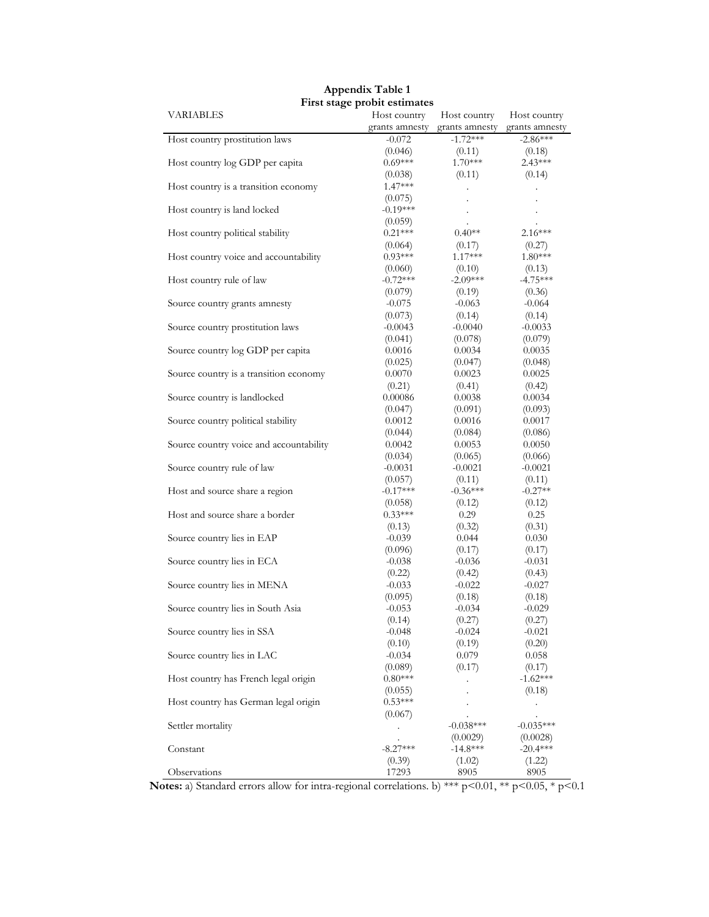| VARIABLES                               | Host country   | Host country         | Host country         |  |
|-----------------------------------------|----------------|----------------------|----------------------|--|
|                                         | grants amnesty | grants amnesty       | grants amnesty       |  |
| Host country prostitution laws          | $-0.072$       | $-1.72***$           | $-2.86***$           |  |
|                                         | (0.046)        | (0.11)               | (0.18)               |  |
| Host country log GDP per capita         | $0.69***$      | $1.70***$            | $2.43***$            |  |
|                                         | (0.038)        | (0.11)               | (0.14)               |  |
| Host country is a transition economy    | $1.47***$      | $\ddot{\phantom{0}}$ | $\ddot{\phantom{0}}$ |  |
|                                         | (0.075)        |                      |                      |  |
| Host country is land locked             | $-0.19***$     | $\ddot{\phantom{0}}$ | $\blacksquare$       |  |
|                                         | (0.059)        | $\ddot{\phantom{0}}$ |                      |  |
| Host country political stability        | $0.21***$      | $0.40**$             | $2.16***$            |  |
|                                         | (0.064)        | (0.17)               | (0.27)               |  |
| Host country voice and accountability   | $0.93***$      | $1.17***$            | $1.80***$            |  |
|                                         | (0.060)        | (0.10)               | (0.13)               |  |
| Host country rule of law                | $-0.72***$     | $-2.09***$           | $-4.75***$           |  |
|                                         | (0.079)        | (0.19)               | (0.36)               |  |
| Source country grants amnesty           | $-0.075$       | $-0.063$             | $-0.064$             |  |
|                                         | (0.073)        | (0.14)               | (0.14)               |  |
| Source country prostitution laws        | $-0.0043$      | $-0.0040$            | $-0.0033$            |  |
|                                         | (0.041)        | (0.078)              | (0.079)              |  |
| Source country log GDP per capita       | 0.0016         | 0.0034               | 0.0035               |  |
|                                         | (0.025)        | (0.047)              | (0.048)              |  |
| Source country is a transition economy  | 0.0070         | 0.0023               | 0.0025               |  |
|                                         | (0.21)         | (0.41)               | (0.42)               |  |
| Source country is landlocked            | 0.00086        | 0.0038               | 0.0034               |  |
|                                         | (0.047)        | (0.091)              | (0.093)              |  |
| Source country political stability      | 0.0012         | 0.0016               | 0.0017               |  |
|                                         | (0.044)        | (0.084)              | (0.086)              |  |
| Source country voice and accountability | 0.0042         | 0.0053               | 0.0050               |  |
|                                         | (0.034)        | (0.065)              | (0.066)              |  |
| Source country rule of law              | $-0.0031$      | $-0.0021$            | $-0.0021$            |  |
|                                         | (0.057)        | (0.11)               | (0.11)               |  |
| Host and source share a region          | $-0.17***$     | $-0.36***$           | $-0.27**$            |  |
|                                         | (0.058)        | (0.12)               | (0.12)               |  |
| Host and source share a border          | $0.33***$      | 0.29                 | 0.25                 |  |
|                                         | (0.13)         | (0.32)               | (0.31)               |  |
| Source country lies in EAP              | $-0.039$       | 0.044                | 0.030                |  |
|                                         | (0.096)        | (0.17)               | (0.17)               |  |
| Source country lies in ECA              | $-0.038$       | $-0.036$             | $-0.031$             |  |
|                                         | (0.22)         | (0.42)               | (0.43)               |  |
| Source country lies in MENA             | $-0.033$       | $-0.022$             | $-0.027$             |  |
|                                         | (0.095)        | (0.18)               | (0.18)               |  |
| Source country lies in South Asia       | $-0.053$       | $-0.034$             | $-0.029$             |  |
|                                         | (0.14)         | (0.27)               | (0.27)               |  |
| Source country lies in SSA              | $-0.048$       | $-0.024$             | $-0.021$             |  |
|                                         | (0.10)         | (0.19)               | (0.20)               |  |
| Source country lies in LAC              | $-0.034$       | 0.079                | 0.058                |  |
|                                         | (0.089)        | (0.17)               | (0.17)               |  |
| Host country has French legal origin    | $0.80***$      |                      | $-1.62***$           |  |
|                                         | (0.055)        |                      | (0.18)               |  |
| Host country has German legal origin    | $0.53***$      |                      |                      |  |
|                                         | (0.067)        |                      |                      |  |
| Settler mortality                       |                | $-0.038***$          | $-0.035***$          |  |
|                                         | $\cdot$        | (0.0029)             | (0.0028)             |  |
| Constant                                | $-8.27***$     | $-14.8***$           | $-20.4***$           |  |
|                                         | (0.39)         | (1.02)               | (1.22)               |  |
| Observations                            | 17293          | 8905                 | 8905                 |  |

#### **Appendix Table 1 First stage probit estimates**

**Notes:** a) Standard errors allow for intra-regional correlations. b) \*\*\* p<0.01, \*\* p<0.05, \* p<0.1